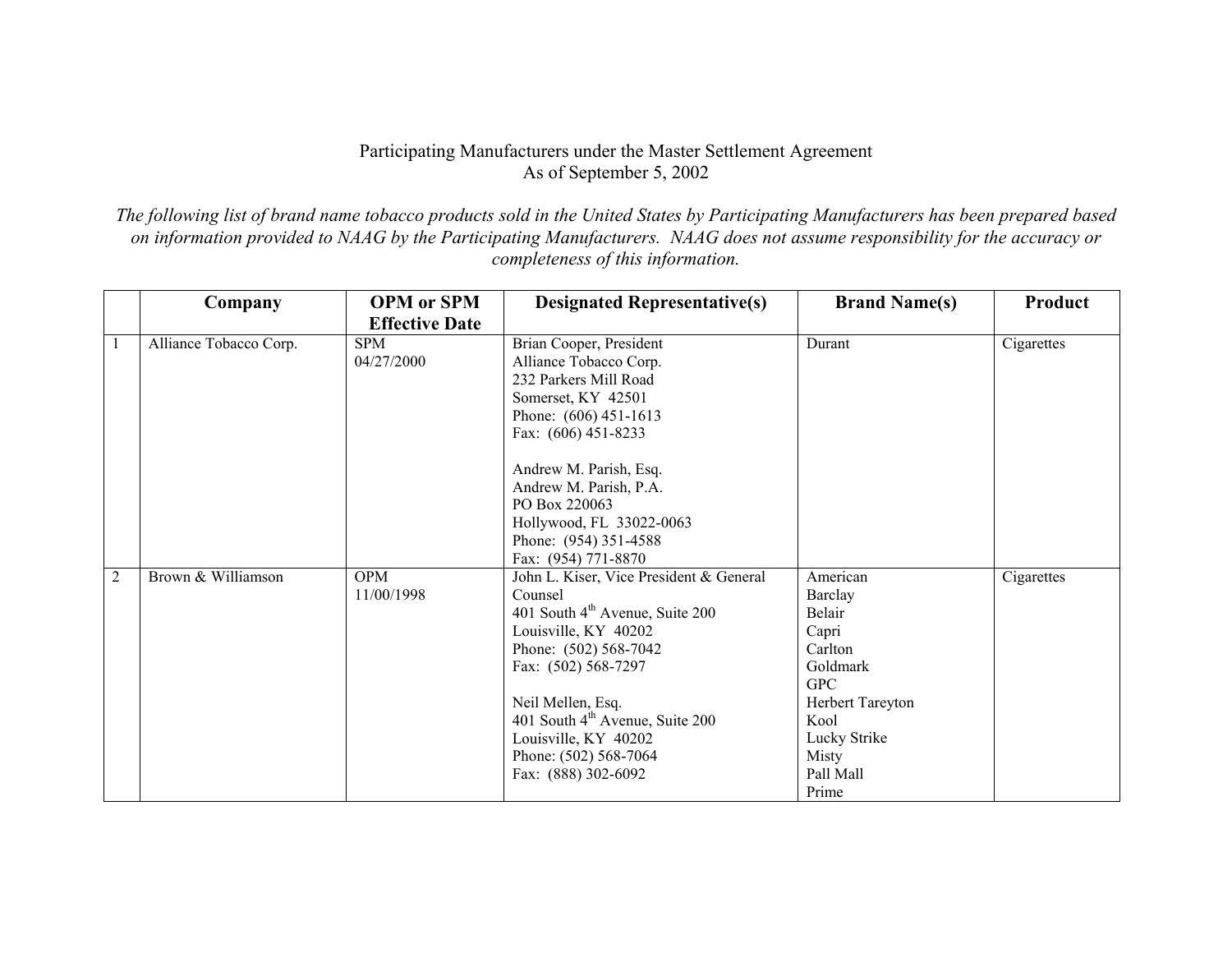## Participating Manufacturers under the Master Settlement Agreement As of September 5, 2002

*The following list of brand name tobacco products sold in the United States by Participating Manufacturers has been prepared based on information provided to NAAG by the Participating Manufacturers. NAAG does not assume responsibility for the accuracy or completeness of this information.* 

|                | Company                | <b>OPM</b> or SPM        | <b>Designated Representative(s)</b>                                                                                                                                                                                                                                                                                   | <b>Brand Name(s)</b>                                                                                                                                   | Product    |
|----------------|------------------------|--------------------------|-----------------------------------------------------------------------------------------------------------------------------------------------------------------------------------------------------------------------------------------------------------------------------------------------------------------------|--------------------------------------------------------------------------------------------------------------------------------------------------------|------------|
|                |                        | <b>Effective Date</b>    |                                                                                                                                                                                                                                                                                                                       |                                                                                                                                                        |            |
|                | Alliance Tobacco Corp. | <b>SPM</b><br>04/27/2000 | Brian Cooper, President<br>Alliance Tobacco Corp.<br>232 Parkers Mill Road<br>Somerset, KY 42501<br>Phone: (606) 451-1613<br>Fax: (606) 451-8233<br>Andrew M. Parish, Esq.<br>Andrew M. Parish, P.A.<br>PO Box 220063<br>Hollywood, FL 33022-0063<br>Phone: (954) 351-4588<br>Fax: (954) 771-8870                     | Durant                                                                                                                                                 | Cigarettes |
| $\overline{2}$ | Brown & Williamson     | <b>OPM</b><br>11/00/1998 | John L. Kiser, Vice President & General<br>Counsel<br>401 South 4 <sup>th</sup> Avenue, Suite 200<br>Louisville, KY 40202<br>Phone: (502) 568-7042<br>Fax: (502) 568-7297<br>Neil Mellen, Esq.<br>401 South 4 <sup>th</sup> Avenue, Suite 200<br>Louisville, KY 40202<br>Phone: (502) 568-7064<br>Fax: (888) 302-6092 | American<br>Barclay<br>Belair<br>Capri<br>Carlton<br>Goldmark<br><b>GPC</b><br>Herbert Tareyton<br>Kool<br>Lucky Strike<br>Misty<br>Pall Mall<br>Prime | Cigarettes |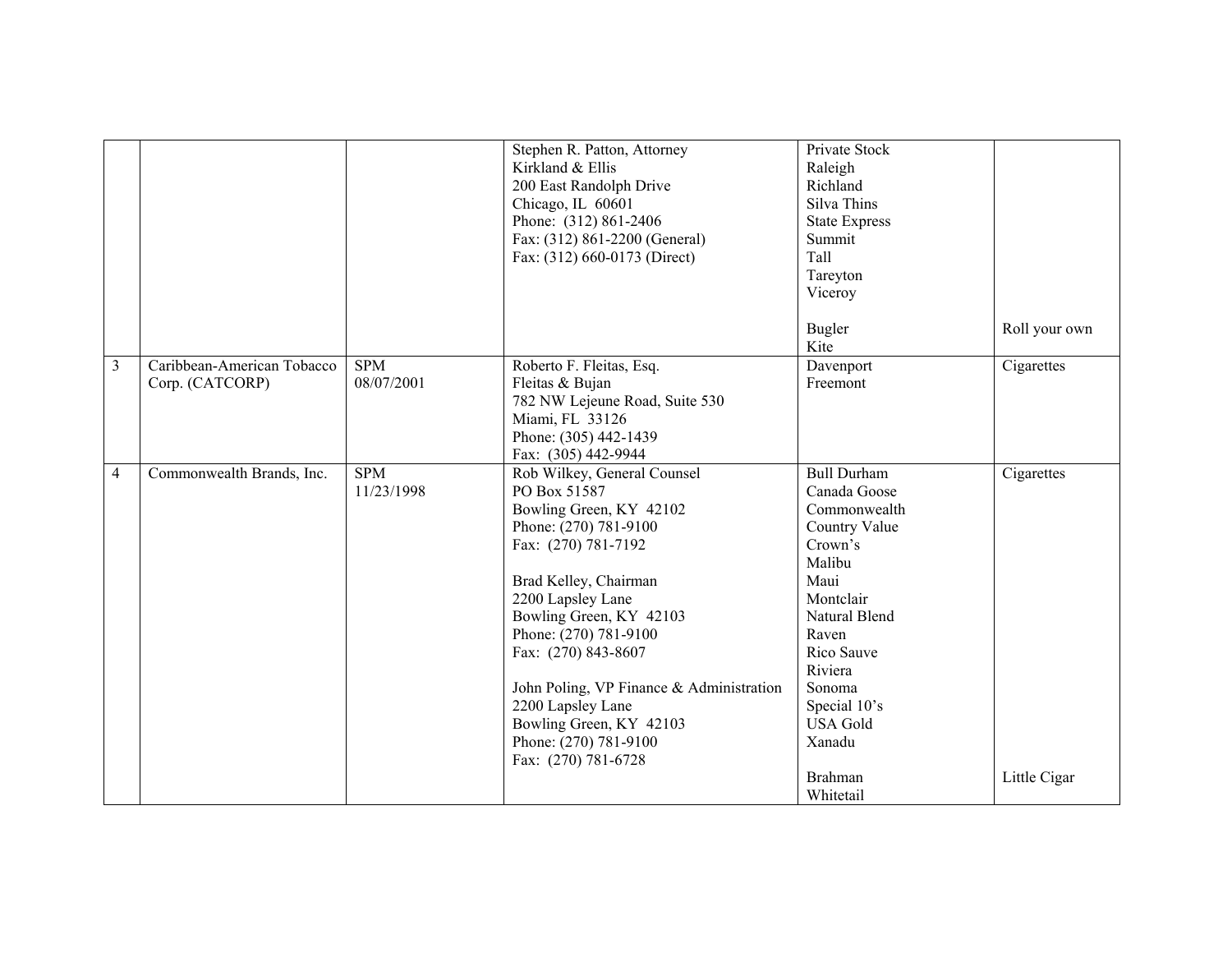|                |                                               |                          | Stephen R. Patton, Attorney<br>Kirkland & Ellis<br>200 East Randolph Drive<br>Chicago, IL 60601<br>Phone: (312) 861-2406<br>Fax: (312) 861-2200 (General)<br>Fax: (312) 660-0173 (Direct)                                                                                                                                                                                                   | Private Stock<br>Raleigh<br>Richland<br>Silva Thins<br><b>State Express</b><br>Summit<br>Tall<br>Tareyton<br>Viceroy                                                                                                                      |                            |
|----------------|-----------------------------------------------|--------------------------|---------------------------------------------------------------------------------------------------------------------------------------------------------------------------------------------------------------------------------------------------------------------------------------------------------------------------------------------------------------------------------------------|-------------------------------------------------------------------------------------------------------------------------------------------------------------------------------------------------------------------------------------------|----------------------------|
|                |                                               |                          |                                                                                                                                                                                                                                                                                                                                                                                             | <b>Bugler</b><br>Kite                                                                                                                                                                                                                     | Roll your own              |
| 3              | Caribbean-American Tobacco<br>Corp. (CATCORP) | <b>SPM</b><br>08/07/2001 | Roberto F. Fleitas, Esq.<br>Fleitas & Bujan<br>782 NW Lejeune Road, Suite 530<br>Miami, FL 33126<br>Phone: (305) 442-1439<br>Fax: (305) 442-9944                                                                                                                                                                                                                                            | Davenport<br>Freemont                                                                                                                                                                                                                     | Cigarettes                 |
| $\overline{4}$ | Commonwealth Brands, Inc.                     | <b>SPM</b><br>11/23/1998 | Rob Wilkey, General Counsel<br>PO Box 51587<br>Bowling Green, KY 42102<br>Phone: (270) 781-9100<br>Fax: (270) 781-7192<br>Brad Kelley, Chairman<br>2200 Lapsley Lane<br>Bowling Green, KY 42103<br>Phone: (270) 781-9100<br>Fax: (270) 843-8607<br>John Poling, VP Finance & Administration<br>2200 Lapsley Lane<br>Bowling Green, KY 42103<br>Phone: (270) 781-9100<br>Fax: (270) 781-6728 | <b>Bull Durham</b><br>Canada Goose<br>Commonwealth<br>Country Value<br>Crown's<br>Malibu<br>Maui<br>Montclair<br>Natural Blend<br>Raven<br>Rico Sauve<br>Riviera<br>Sonoma<br>Special 10's<br><b>USA Gold</b><br>Xanadu<br><b>Brahman</b> | Cigarettes<br>Little Cigar |
|                |                                               |                          |                                                                                                                                                                                                                                                                                                                                                                                             | Whitetail                                                                                                                                                                                                                                 |                            |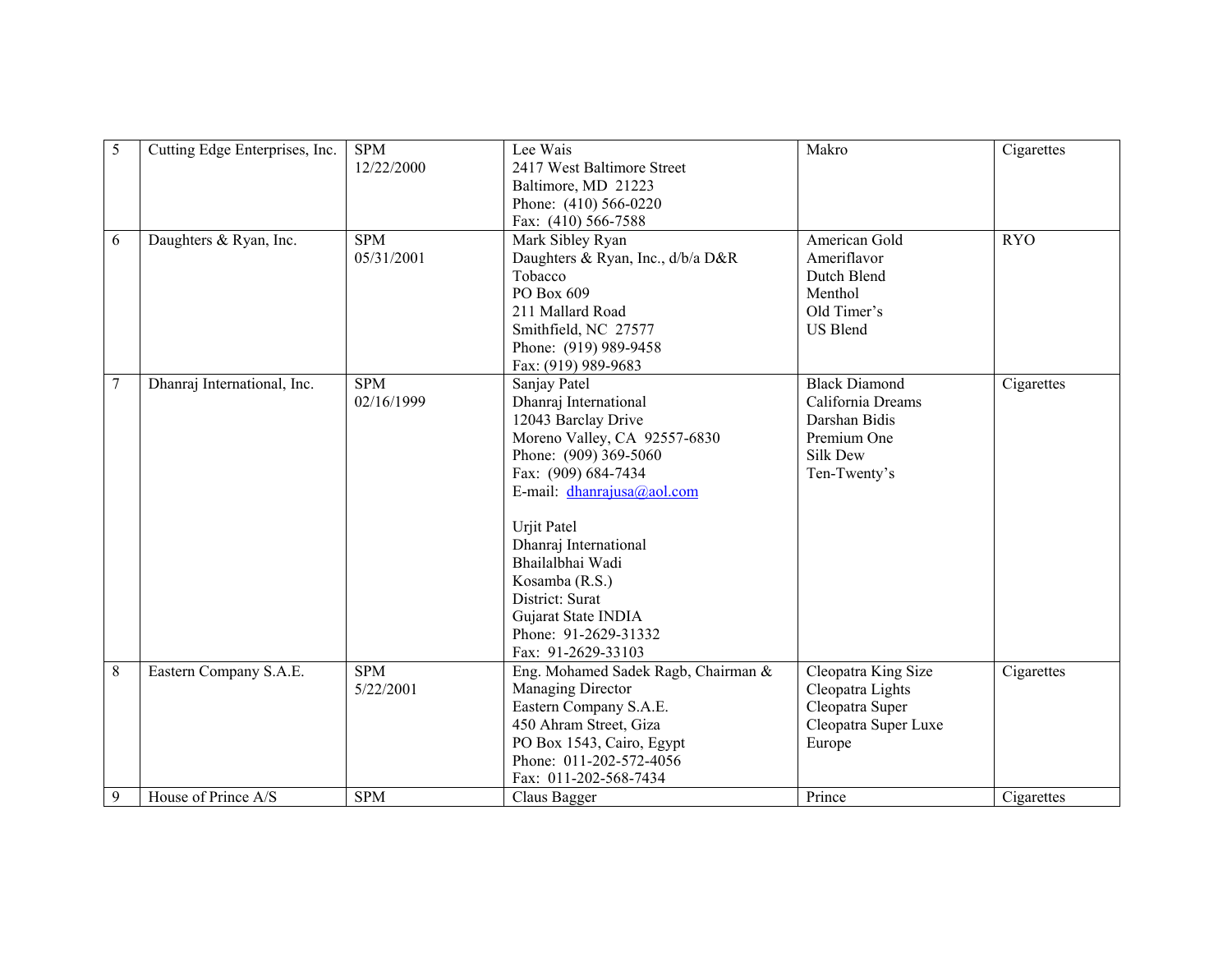| 5              | Cutting Edge Enterprises, Inc. | <b>SPM</b><br>12/22/2000 | Lee Wais<br>2417 West Baltimore Street<br>Baltimore, MD 21223<br>Phone: (410) 566-0220<br>Fax: (410) 566-7588                                                                                                                                                                                                                                              | Makro                                                                                                 | Cigarettes |
|----------------|--------------------------------|--------------------------|------------------------------------------------------------------------------------------------------------------------------------------------------------------------------------------------------------------------------------------------------------------------------------------------------------------------------------------------------------|-------------------------------------------------------------------------------------------------------|------------|
| 6              | Daughters & Ryan, Inc.         | <b>SPM</b><br>05/31/2001 | Mark Sibley Ryan<br>Daughters & Ryan, Inc., d/b/a D&R<br>Tobacco<br>PO Box 609<br>211 Mallard Road<br>Smithfield, NC 27577<br>Phone: (919) 989-9458<br>Fax: (919) 989-9683                                                                                                                                                                                 | American Gold<br>Ameriflavor<br>Dutch Blend<br>Menthol<br>Old Timer's<br><b>US Blend</b>              | <b>RYO</b> |
| $\overline{7}$ | Dhanraj International, Inc.    | <b>SPM</b><br>02/16/1999 | Sanjay Patel<br>Dhanraj International<br>12043 Barclay Drive<br>Moreno Valley, CA 92557-6830<br>Phone: (909) 369-5060<br>Fax: (909) 684-7434<br>E-mail: $d$ hanrajusa@aol.com<br><b>Urjit Patel</b><br>Dhanraj International<br>Bhailalbhai Wadi<br>Kosamba (R.S.)<br>District: Surat<br>Gujarat State INDIA<br>Phone: 91-2629-31332<br>Fax: 91-2629-33103 | <b>Black Diamond</b><br>California Dreams<br>Darshan Bidis<br>Premium One<br>Silk Dew<br>Ten-Twenty's | Cigarettes |
| 8              | Eastern Company S.A.E.         | <b>SPM</b><br>5/22/2001  | Eng. Mohamed Sadek Ragb, Chairman &<br>Managing Director<br>Eastern Company S.A.E.<br>450 Ahram Street, Giza<br>PO Box 1543, Cairo, Egypt<br>Phone: 011-202-572-4056<br>Fax: 011-202-568-7434                                                                                                                                                              | Cleopatra King Size<br>Cleopatra Lights<br>Cleopatra Super<br>Cleopatra Super Luxe<br>Europe          | Cigarettes |
| 9              | House of Prince A/S            | <b>SPM</b>               | Claus Bagger                                                                                                                                                                                                                                                                                                                                               | Prince                                                                                                | Cigarettes |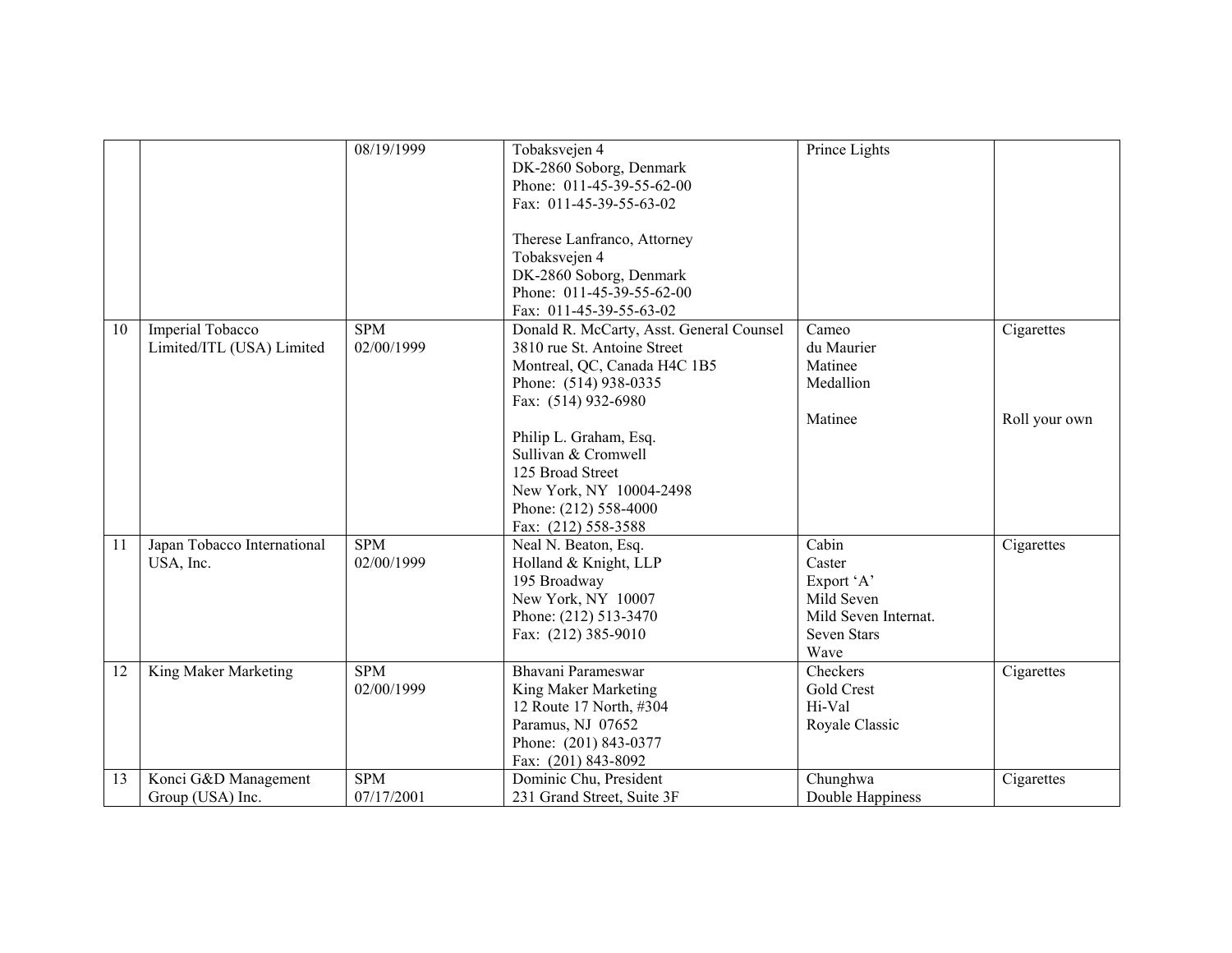|    |                                                      | 08/19/1999               | Tobaksvejen 4<br>DK-2860 Soborg, Denmark<br>Phone: 011-45-39-55-62-00<br>Fax: 011-45-39-55-63-02<br>Therese Lanfranco, Attorney<br>Tobaksvejen 4<br>DK-2860 Soborg, Denmark<br>Phone: 011-45-39-55-62-00<br>Fax: 011-45-39-55-63-02 | Prince Lights                                                                              |               |
|----|------------------------------------------------------|--------------------------|-------------------------------------------------------------------------------------------------------------------------------------------------------------------------------------------------------------------------------------|--------------------------------------------------------------------------------------------|---------------|
| 10 | <b>Imperial Tobacco</b><br>Limited/ITL (USA) Limited | <b>SPM</b><br>02/00/1999 | Donald R. McCarty, Asst. General Counsel<br>3810 rue St. Antoine Street<br>Montreal, QC, Canada H4C 1B5<br>Phone: (514) 938-0335<br>Fax: (514) 932-6980                                                                             | Cameo<br>du Maurier<br>Matinee<br>Medallion                                                | Cigarettes    |
|    |                                                      |                          | Philip L. Graham, Esq.<br>Sullivan & Cromwell<br>125 Broad Street<br>New York, NY 10004-2498<br>Phone: (212) 558-4000<br>Fax: (212) 558-3588                                                                                        | Matinee                                                                                    | Roll your own |
| 11 | Japan Tobacco International<br>USA, Inc.             | <b>SPM</b><br>02/00/1999 | Neal N. Beaton, Esq.<br>Holland & Knight, LLP<br>195 Broadway<br>New York, NY 10007<br>Phone: (212) 513-3470<br>Fax: (212) 385-9010                                                                                                 | Cabin<br>Caster<br>Export 'A'<br>Mild Seven<br>Mild Seven Internat.<br>Seven Stars<br>Wave | Cigarettes    |
| 12 | King Maker Marketing                                 | <b>SPM</b><br>02/00/1999 | Bhavani Parameswar<br>King Maker Marketing<br>12 Route 17 North, #304<br>Paramus, NJ 07652<br>Phone: (201) 843-0377<br>Fax: (201) 843-8092                                                                                          | Checkers<br>Gold Crest<br>Hi-Val<br>Royale Classic                                         | Cigarettes    |
| 13 | Konci G&D Management<br>Group (USA) Inc.             | <b>SPM</b><br>07/17/2001 | Dominic Chu, President<br>231 Grand Street, Suite 3F                                                                                                                                                                                | Chunghwa<br>Double Happiness                                                               | Cigarettes    |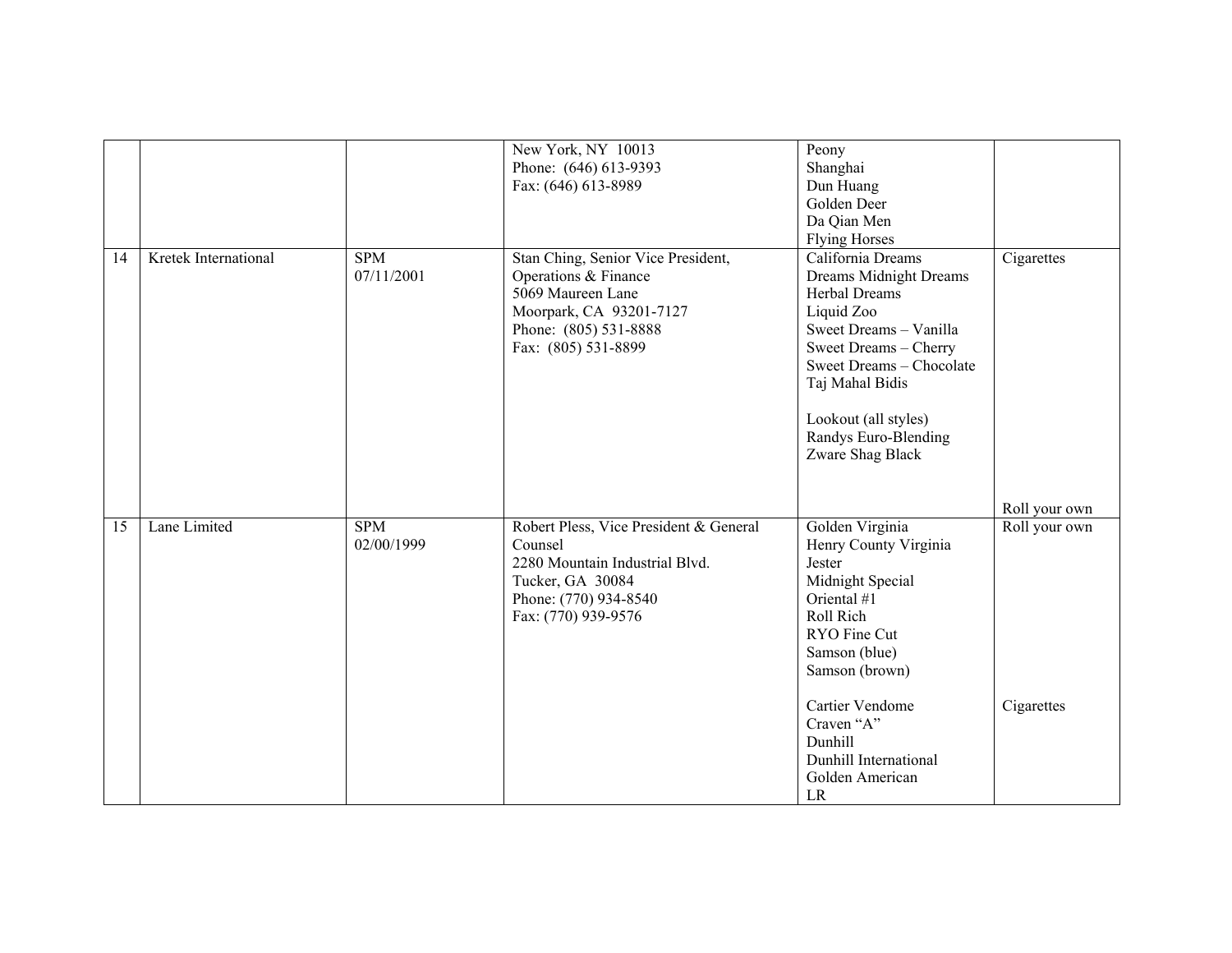|    |                      |                          | New York, NY 10013<br>Phone: (646) 613-9393<br>Fax: (646) 613-8989                                                                                         | Peony<br>Shanghai<br>Dun Huang<br>Golden Deer<br>Da Qian Men<br><b>Flying Horses</b>                                                                                                                                                             |                             |
|----|----------------------|--------------------------|------------------------------------------------------------------------------------------------------------------------------------------------------------|--------------------------------------------------------------------------------------------------------------------------------------------------------------------------------------------------------------------------------------------------|-----------------------------|
| 14 | Kretek International | <b>SPM</b><br>07/11/2001 | Stan Ching, Senior Vice President,<br>Operations & Finance<br>5069 Maureen Lane<br>Moorpark, CA 93201-7127<br>Phone: (805) 531-8888<br>Fax: (805) 531-8899 | California Dreams<br>Dreams Midnight Dreams<br>Herbal Dreams<br>Liquid Zoo<br>Sweet Dreams - Vanilla<br>Sweet Dreams - Cherry<br>Sweet Dreams - Chocolate<br>Taj Mahal Bidis<br>Lookout (all styles)<br>Randys Euro-Blending<br>Zware Shag Black | Cigarettes                  |
|    |                      |                          |                                                                                                                                                            |                                                                                                                                                                                                                                                  | Roll your own               |
| 15 | Lane Limited         | <b>SPM</b><br>02/00/1999 | Robert Pless, Vice President & General<br>Counsel<br>2280 Mountain Industrial Blvd.<br>Tucker, GA 30084<br>Phone: (770) 934-8540<br>Fax: (770) 939-9576    | Golden Virginia<br>Henry County Virginia<br>Jester<br>Midnight Special<br>Oriental #1<br>Roll Rich<br>RYO Fine Cut<br>Samson (blue)<br>Samson (brown)<br>Cartier Vendome<br>Craven "A"                                                           | Roll your own<br>Cigarettes |
|    |                      |                          |                                                                                                                                                            | Dunhill<br>Dunhill International<br>Golden American<br>LR                                                                                                                                                                                        |                             |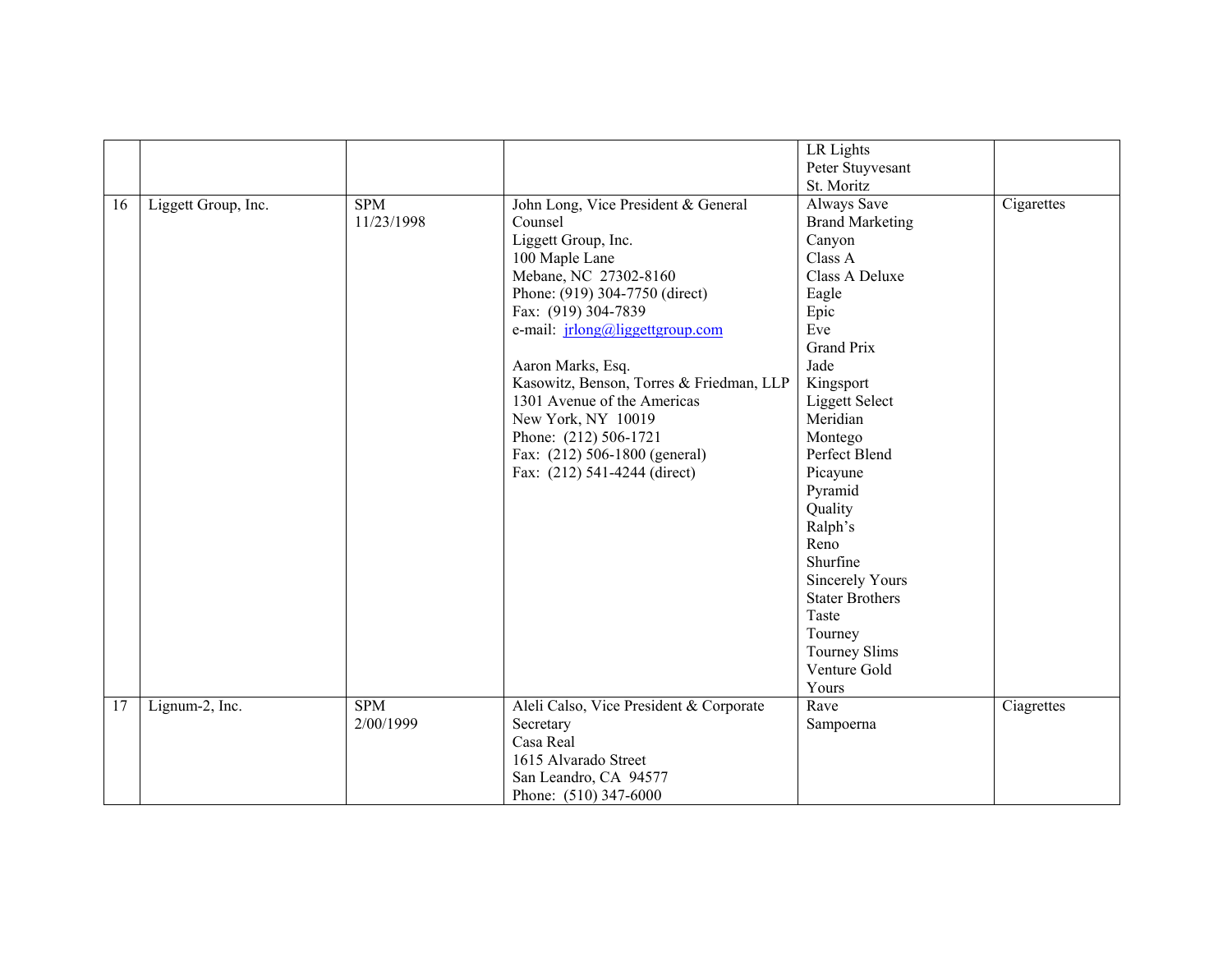|    |                     |                          |                                                                                                                                                                                                                                                                                                                                                                                                                                     | LR Lights<br>Peter Stuyvesant                                                                                                                                                                                                                                                                                                                                          |            |
|----|---------------------|--------------------------|-------------------------------------------------------------------------------------------------------------------------------------------------------------------------------------------------------------------------------------------------------------------------------------------------------------------------------------------------------------------------------------------------------------------------------------|------------------------------------------------------------------------------------------------------------------------------------------------------------------------------------------------------------------------------------------------------------------------------------------------------------------------------------------------------------------------|------------|
|    |                     |                          |                                                                                                                                                                                                                                                                                                                                                                                                                                     |                                                                                                                                                                                                                                                                                                                                                                        |            |
| 16 | Liggett Group, Inc. | <b>SPM</b><br>11/23/1998 | John Long, Vice President & General<br>Counsel<br>Liggett Group, Inc.<br>100 Maple Lane<br>Mebane, NC 27302-8160<br>Phone: (919) 304-7750 (direct)<br>Fax: (919) 304-7839<br>e-mail: <i>jrlong@liggettgroup.com</i><br>Aaron Marks, Esq.<br>Kasowitz, Benson, Torres & Friedman, LLP<br>1301 Avenue of the Americas<br>New York, NY 10019<br>Phone: (212) 506-1721<br>Fax: (212) 506-1800 (general)<br>Fax: (212) 541-4244 (direct) | St. Moritz<br>Always Save<br><b>Brand Marketing</b><br>Canyon<br>Class A<br>Class A Deluxe<br>Eagle<br>Epic<br>Eve<br><b>Grand Prix</b><br>Jade<br>Kingsport<br><b>Liggett Select</b><br>Meridian<br>Montego<br>Perfect Blend<br>Picayune<br>Pyramid<br>Quality<br>Ralph's<br>Reno<br>Shurfine<br><b>Sincerely Yours</b><br><b>Stater Brothers</b><br>Taste<br>Tourney | Cigarettes |
|    |                     |                          |                                                                                                                                                                                                                                                                                                                                                                                                                                     | <b>Tourney Slims</b><br>Venture Gold                                                                                                                                                                                                                                                                                                                                   |            |
|    |                     |                          |                                                                                                                                                                                                                                                                                                                                                                                                                                     | Yours                                                                                                                                                                                                                                                                                                                                                                  |            |
| 17 | Lignum-2, Inc.      | <b>SPM</b><br>2/00/1999  | Aleli Calso, Vice President & Corporate<br>Secretary<br>Casa Real                                                                                                                                                                                                                                                                                                                                                                   | Rave<br>Sampoerna                                                                                                                                                                                                                                                                                                                                                      | Ciagrettes |
|    |                     |                          | 1615 Alvarado Street<br>San Leandro, CA 94577<br>Phone: (510) 347-6000                                                                                                                                                                                                                                                                                                                                                              |                                                                                                                                                                                                                                                                                                                                                                        |            |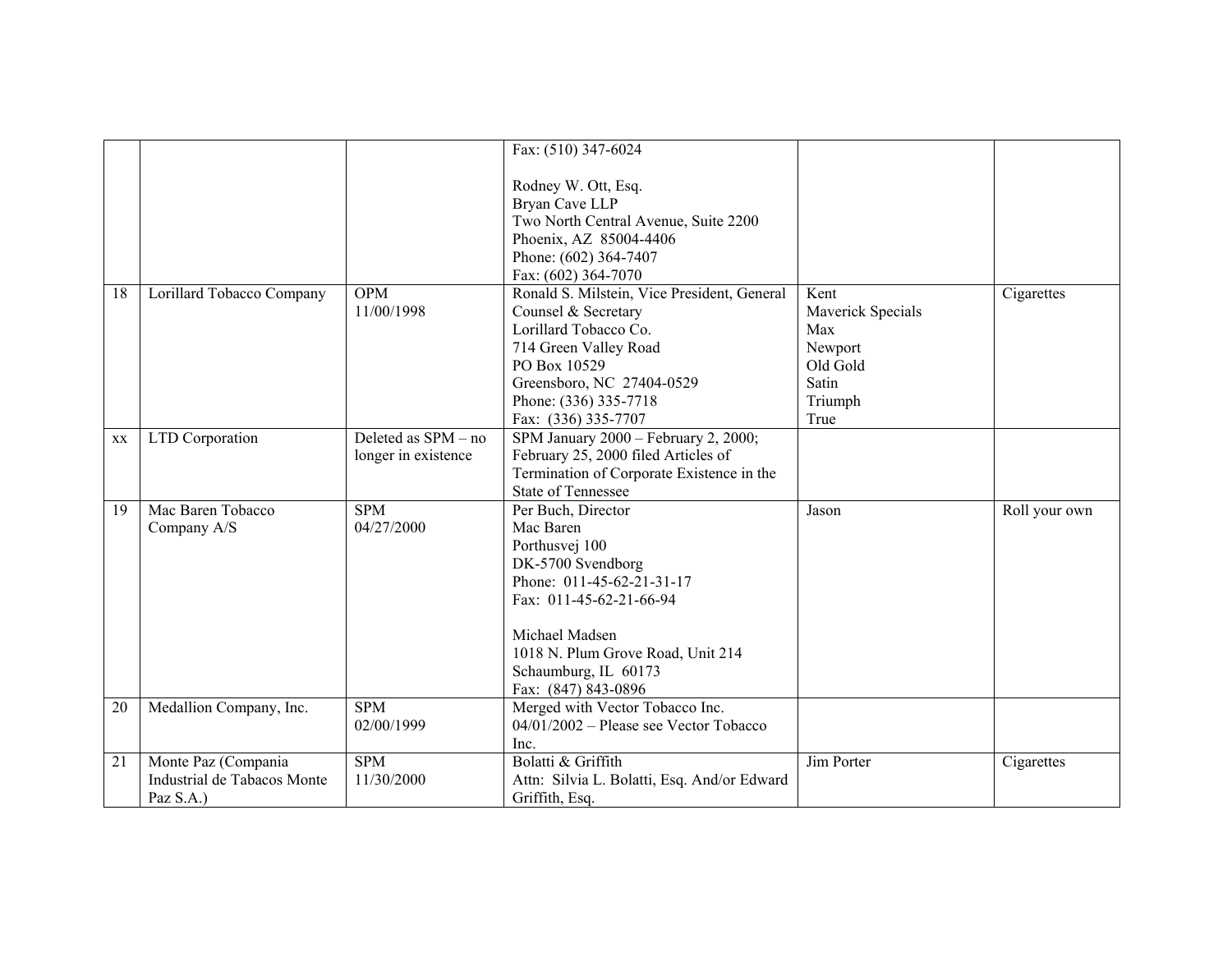|    |                             |                     | Fax: (510) 347-6024                         |                          |               |
|----|-----------------------------|---------------------|---------------------------------------------|--------------------------|---------------|
|    |                             |                     |                                             |                          |               |
|    |                             |                     | Rodney W. Ott, Esq.                         |                          |               |
|    |                             |                     | Bryan Cave LLP                              |                          |               |
|    |                             |                     | Two North Central Avenue, Suite 2200        |                          |               |
|    |                             |                     | Phoenix, AZ 85004-4406                      |                          |               |
|    |                             |                     | Phone: (602) 364-7407                       |                          |               |
|    |                             |                     | Fax: (602) 364-7070                         |                          |               |
| 18 | Lorillard Tobacco Company   | <b>OPM</b>          | Ronald S. Milstein, Vice President, General | Kent                     | Cigarettes    |
|    |                             | 11/00/1998          | Counsel & Secretary                         | <b>Maverick Specials</b> |               |
|    |                             |                     | Lorillard Tobacco Co.                       | Max                      |               |
|    |                             |                     | 714 Green Valley Road                       | Newport                  |               |
|    |                             |                     | PO Box 10529                                | Old Gold                 |               |
|    |                             |                     | Greensboro, NC 27404-0529                   | Satin                    |               |
|    |                             |                     | Phone: (336) 335-7718                       | Triumph                  |               |
|    |                             |                     |                                             | True                     |               |
|    |                             | Deleted as SPM - no | Fax: (336) 335-7707                         |                          |               |
| XX | LTD Corporation             |                     | SPM January 2000 - February 2, 2000;        |                          |               |
|    |                             | longer in existence | February 25, 2000 filed Articles of         |                          |               |
|    |                             |                     | Termination of Corporate Existence in the   |                          |               |
|    |                             |                     | <b>State of Tennessee</b>                   |                          |               |
| 19 | Mac Baren Tobacco           | <b>SPM</b>          | Per Buch, Director                          | Jason                    | Roll your own |
|    | Company A/S                 | 04/27/2000          | Mac Baren                                   |                          |               |
|    |                             |                     | Porthusvej 100                              |                          |               |
|    |                             |                     | DK-5700 Svendborg                           |                          |               |
|    |                             |                     | Phone: 011-45-62-21-31-17                   |                          |               |
|    |                             |                     | Fax: 011-45-62-21-66-94                     |                          |               |
|    |                             |                     | Michael Madsen                              |                          |               |
|    |                             |                     | 1018 N. Plum Grove Road, Unit 214           |                          |               |
|    |                             |                     | Schaumburg, IL 60173                        |                          |               |
|    |                             |                     | Fax: (847) 843-0896                         |                          |               |
| 20 | Medallion Company, Inc.     | <b>SPM</b>          | Merged with Vector Tobacco Inc.             |                          |               |
|    |                             | 02/00/1999          | $04/01/2002$ – Please see Vector Tobacco    |                          |               |
|    |                             |                     | Inc.                                        |                          |               |
| 21 | Monte Paz (Compania         | <b>SPM</b>          | Bolatti & Griffith                          | Jim Porter               | Cigarettes    |
|    | Industrial de Tabacos Monte | 11/30/2000          | Attn: Silvia L. Bolatti, Esq. And/or Edward |                          |               |
|    | Paz S.A.)                   |                     | Griffith, Esq.                              |                          |               |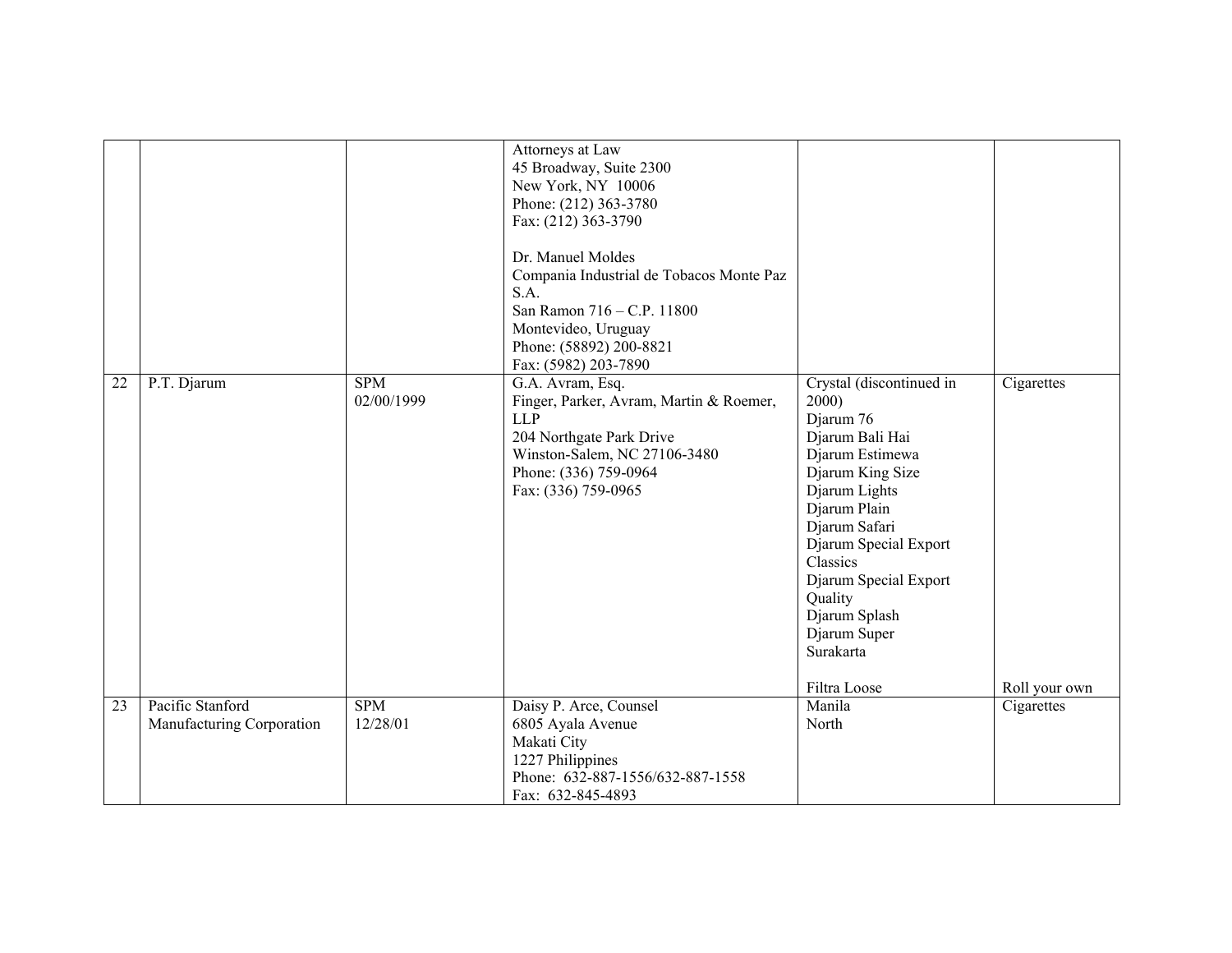|    |                                               |                          | Attorneys at Law<br>45 Broadway, Suite 2300<br>New York, NY 10006<br>Phone: (212) 363-3780<br>Fax: (212) 363-3790<br>Dr. Manuel Moldes<br>Compania Industrial de Tobacos Monte Paz<br>S.A.<br>San Ramon 716 - C.P. 11800<br>Montevideo, Uruguay<br>Phone: (58892) 200-8821<br>Fax: (5982) 203-7890 |                                                                                                                                                                                                                                                                                   |                             |
|----|-----------------------------------------------|--------------------------|----------------------------------------------------------------------------------------------------------------------------------------------------------------------------------------------------------------------------------------------------------------------------------------------------|-----------------------------------------------------------------------------------------------------------------------------------------------------------------------------------------------------------------------------------------------------------------------------------|-----------------------------|
| 22 | P.T. Djarum                                   | <b>SPM</b><br>02/00/1999 | G.A. Avram, Esq.<br>Finger, Parker, Avram, Martin & Roemer,<br>LLP<br>204 Northgate Park Drive<br>Winston-Salem, NC 27106-3480<br>Phone: (336) 759-0964<br>Fax: (336) 759-0965                                                                                                                     | Crystal (discontinued in<br>2000)<br>Djarum 76<br>Djarum Bali Hai<br>Djarum Estimewa<br>Djarum King Size<br>Djarum Lights<br>Djarum Plain<br>Djarum Safari<br>Djarum Special Export<br>Classics<br>Djarum Special Export<br>Quality<br>Djarum Splash<br>Djarum Super<br>Surakarta | Cigarettes                  |
| 23 | Pacific Stanford<br>Manufacturing Corporation | <b>SPM</b><br>12/28/01   | Daisy P. Arce, Counsel<br>6805 Ayala Avenue<br>Makati City<br>1227 Philippines<br>Phone: 632-887-1556/632-887-1558<br>Fax: 632-845-4893                                                                                                                                                            | Filtra Loose<br>Manila<br>North                                                                                                                                                                                                                                                   | Roll your own<br>Cigarettes |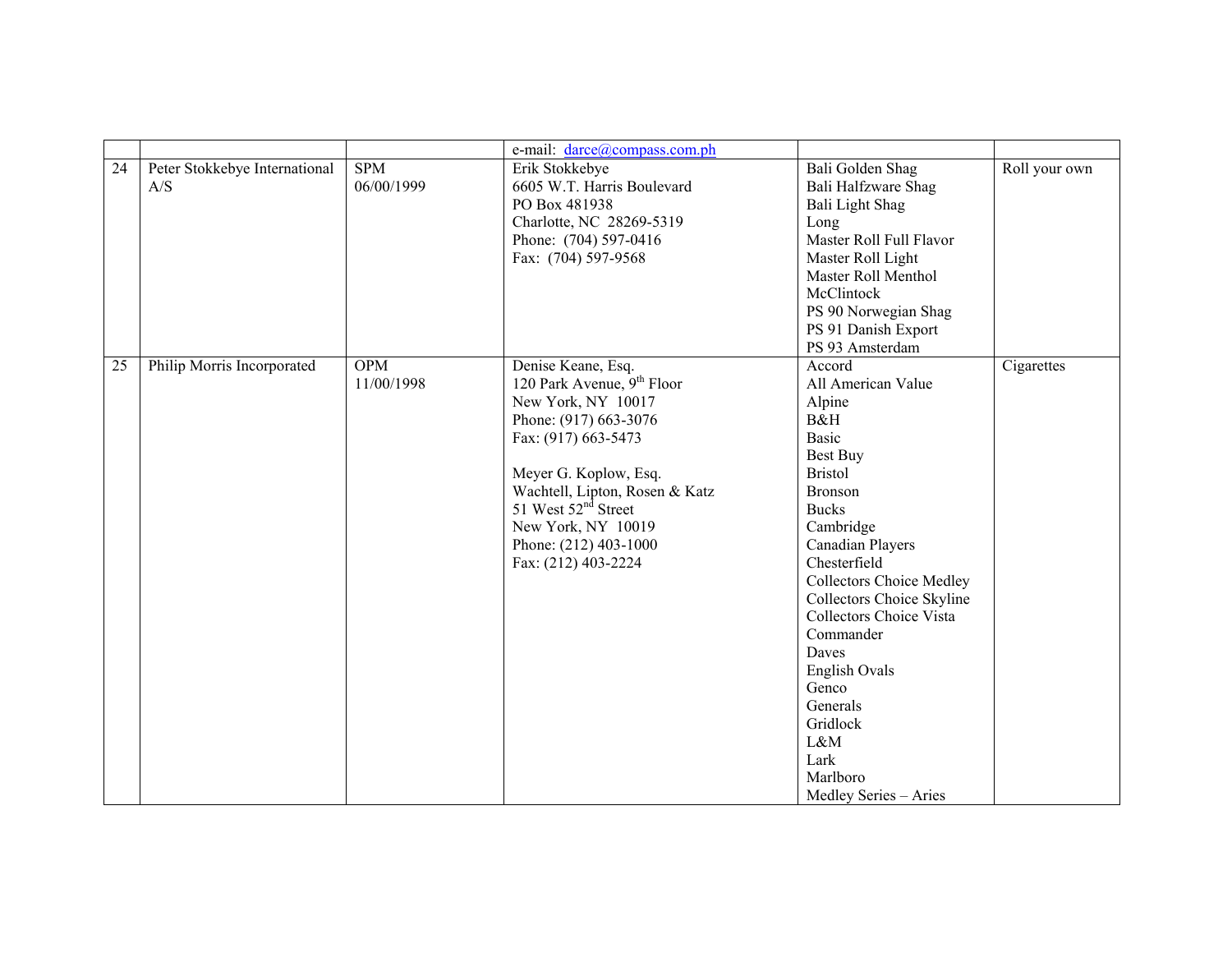|    |                                      |                          | e-mail: darce@compass.com.ph                                                                                                                                                                                                                                                                           |                                                                                                                                                                                                                                                                                                                                                                                                                            |               |
|----|--------------------------------------|--------------------------|--------------------------------------------------------------------------------------------------------------------------------------------------------------------------------------------------------------------------------------------------------------------------------------------------------|----------------------------------------------------------------------------------------------------------------------------------------------------------------------------------------------------------------------------------------------------------------------------------------------------------------------------------------------------------------------------------------------------------------------------|---------------|
| 24 | Peter Stokkebye International<br>A/S | <b>SPM</b><br>06/00/1999 | Erik Stokkebye<br>6605 W.T. Harris Boulevard<br>PO Box 481938<br>Charlotte, NC 28269-5319<br>Phone: (704) 597-0416<br>Fax: (704) 597-9568                                                                                                                                                              | Bali Golden Shag<br>Bali Halfzware Shag<br>Bali Light Shag<br>Long<br>Master Roll Full Flavor<br>Master Roll Light<br>Master Roll Menthol<br>McClintock<br>PS 90 Norwegian Shag<br>PS 91 Danish Export<br>PS 93 Amsterdam                                                                                                                                                                                                  | Roll your own |
| 25 | Philip Morris Incorporated           | <b>OPM</b><br>11/00/1998 | Denise Keane, Esq.<br>120 Park Avenue, 9 <sup>th</sup> Floor<br>New York, NY 10017<br>Phone: (917) 663-3076<br>Fax: (917) 663-5473<br>Meyer G. Koplow, Esq.<br>Wachtell, Lipton, Rosen & Katz<br>51 West 52 <sup>nd</sup> Street<br>New York, NY 10019<br>Phone: (212) 403-1000<br>Fax: (212) 403-2224 | Accord<br>All American Value<br>Alpine<br>B&H<br><b>Basic</b><br><b>Best Buy</b><br><b>Bristol</b><br>Bronson<br><b>Bucks</b><br>Cambridge<br><b>Canadian Players</b><br>Chesterfield<br><b>Collectors Choice Medley</b><br><b>Collectors Choice Skyline</b><br><b>Collectors Choice Vista</b><br>Commander<br>Daves<br>English Ovals<br>Genco<br>Generals<br>Gridlock<br>L&M<br>Lark<br>Marlboro<br>Medley Series - Aries | Cigarettes    |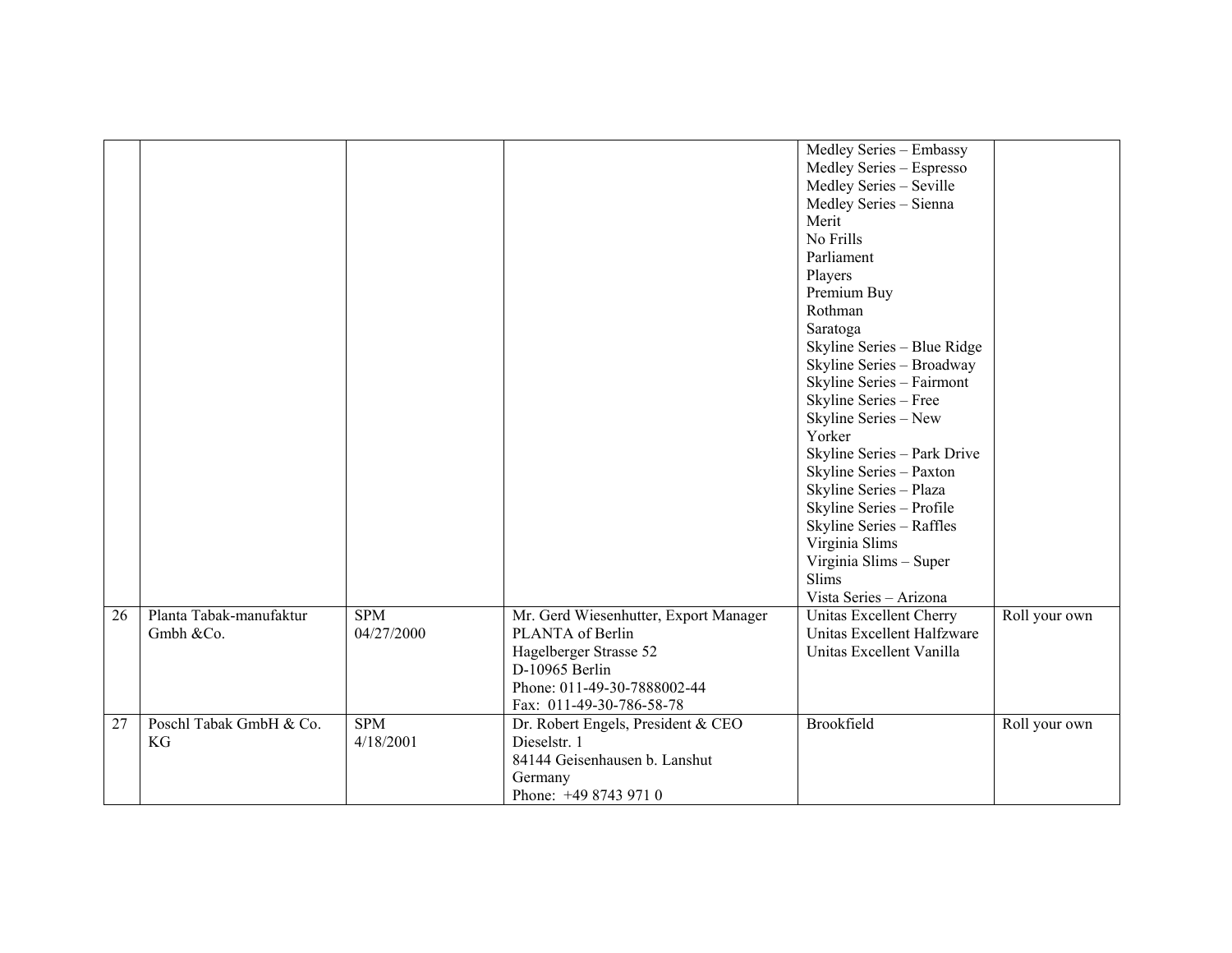|                 |                                      |                          |                                                                                                                                                                  | Medley Series - Embassy<br>Medley Series - Espresso<br>Medley Series - Seville<br>Medley Series - Sienna<br>Merit<br>No Frills<br>Parliament<br>Players<br>Premium Buy<br>Rothman<br>Saratoga<br>Skyline Series - Blue Ridge<br>Skyline Series - Broadway<br>Skyline Series - Fairmont<br>Skyline Series - Free<br>Skyline Series - New<br>Yorker<br>Skyline Series - Park Drive<br>Skyline Series - Paxton<br>Skyline Series - Plaza<br>Skyline Series - Profile<br>Skyline Series - Raffles<br>Virginia Slims<br>Virginia Slims - Super<br>Slims |               |
|-----------------|--------------------------------------|--------------------------|------------------------------------------------------------------------------------------------------------------------------------------------------------------|----------------------------------------------------------------------------------------------------------------------------------------------------------------------------------------------------------------------------------------------------------------------------------------------------------------------------------------------------------------------------------------------------------------------------------------------------------------------------------------------------------------------------------------------------|---------------|
|                 |                                      |                          |                                                                                                                                                                  | Vista Series - Arizona                                                                                                                                                                                                                                                                                                                                                                                                                                                                                                                             |               |
| $\overline{26}$ | Planta Tabak-manufaktur<br>Gmbh &Co. | <b>SPM</b><br>04/27/2000 | Mr. Gerd Wiesenhutter, Export Manager<br>PLANTA of Berlin<br>Hagelberger Strasse 52<br>D-10965 Berlin<br>Phone: 011-49-30-7888002-44<br>Fax: 011-49-30-786-58-78 | Unitas Excellent Cherry<br>Unitas Excellent Halfzware<br>Unitas Excellent Vanilla                                                                                                                                                                                                                                                                                                                                                                                                                                                                  | Roll your own |
| 27              | Poschl Tabak GmbH & Co.<br>KG        | <b>SPM</b><br>4/18/2001  | Dr. Robert Engels, President & CEO<br>Dieselstr. 1<br>84144 Geisenhausen b. Lanshut<br>Germany<br>Phone: +49 8743 971 0                                          | Brookfield                                                                                                                                                                                                                                                                                                                                                                                                                                                                                                                                         | Roll your own |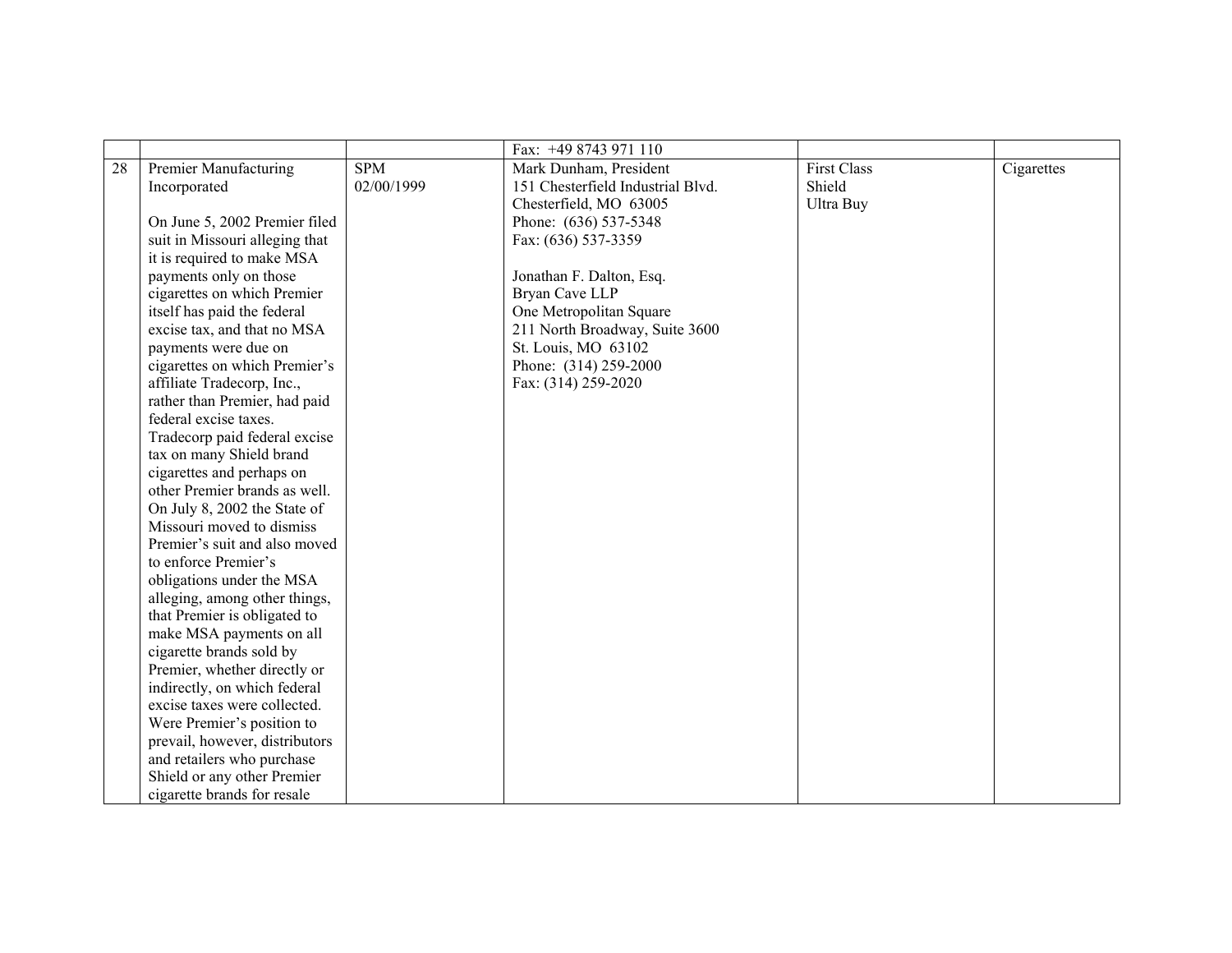|    |                                |            | Fax: +49 8743 971 110             |                    |            |
|----|--------------------------------|------------|-----------------------------------|--------------------|------------|
| 28 | Premier Manufacturing          | <b>SPM</b> | Mark Dunham, President            | <b>First Class</b> | Cigarettes |
|    | Incorporated                   | 02/00/1999 | 151 Chesterfield Industrial Blvd. | Shield             |            |
|    |                                |            | Chesterfield, MO 63005            | Ultra Buy          |            |
|    | On June 5, 2002 Premier filed  |            | Phone: (636) 537-5348             |                    |            |
|    | suit in Missouri alleging that |            | Fax: (636) 537-3359               |                    |            |
|    | it is required to make MSA     |            |                                   |                    |            |
|    | payments only on those         |            | Jonathan F. Dalton, Esq.          |                    |            |
|    | cigarettes on which Premier    |            | Bryan Cave LLP                    |                    |            |
|    | itself has paid the federal    |            | One Metropolitan Square           |                    |            |
|    | excise tax, and that no MSA    |            | 211 North Broadway, Suite 3600    |                    |            |
|    | payments were due on           |            | St. Louis, MO 63102               |                    |            |
|    | cigarettes on which Premier's  |            | Phone: (314) 259-2000             |                    |            |
|    | affiliate Tradecorp, Inc.,     |            | Fax: (314) 259-2020               |                    |            |
|    | rather than Premier, had paid  |            |                                   |                    |            |
|    | federal excise taxes.          |            |                                   |                    |            |
|    | Tradecorp paid federal excise  |            |                                   |                    |            |
|    | tax on many Shield brand       |            |                                   |                    |            |
|    | cigarettes and perhaps on      |            |                                   |                    |            |
|    | other Premier brands as well.  |            |                                   |                    |            |
|    | On July 8, 2002 the State of   |            |                                   |                    |            |
|    | Missouri moved to dismiss      |            |                                   |                    |            |
|    | Premier's suit and also moved  |            |                                   |                    |            |
|    | to enforce Premier's           |            |                                   |                    |            |
|    | obligations under the MSA      |            |                                   |                    |            |
|    | alleging, among other things,  |            |                                   |                    |            |
|    | that Premier is obligated to   |            |                                   |                    |            |
|    | make MSA payments on all       |            |                                   |                    |            |
|    | cigarette brands sold by       |            |                                   |                    |            |
|    | Premier, whether directly or   |            |                                   |                    |            |
|    | indirectly, on which federal   |            |                                   |                    |            |
|    | excise taxes were collected.   |            |                                   |                    |            |
|    | Were Premier's position to     |            |                                   |                    |            |
|    | prevail, however, distributors |            |                                   |                    |            |
|    | and retailers who purchase     |            |                                   |                    |            |
|    | Shield or any other Premier    |            |                                   |                    |            |
|    | cigarette brands for resale    |            |                                   |                    |            |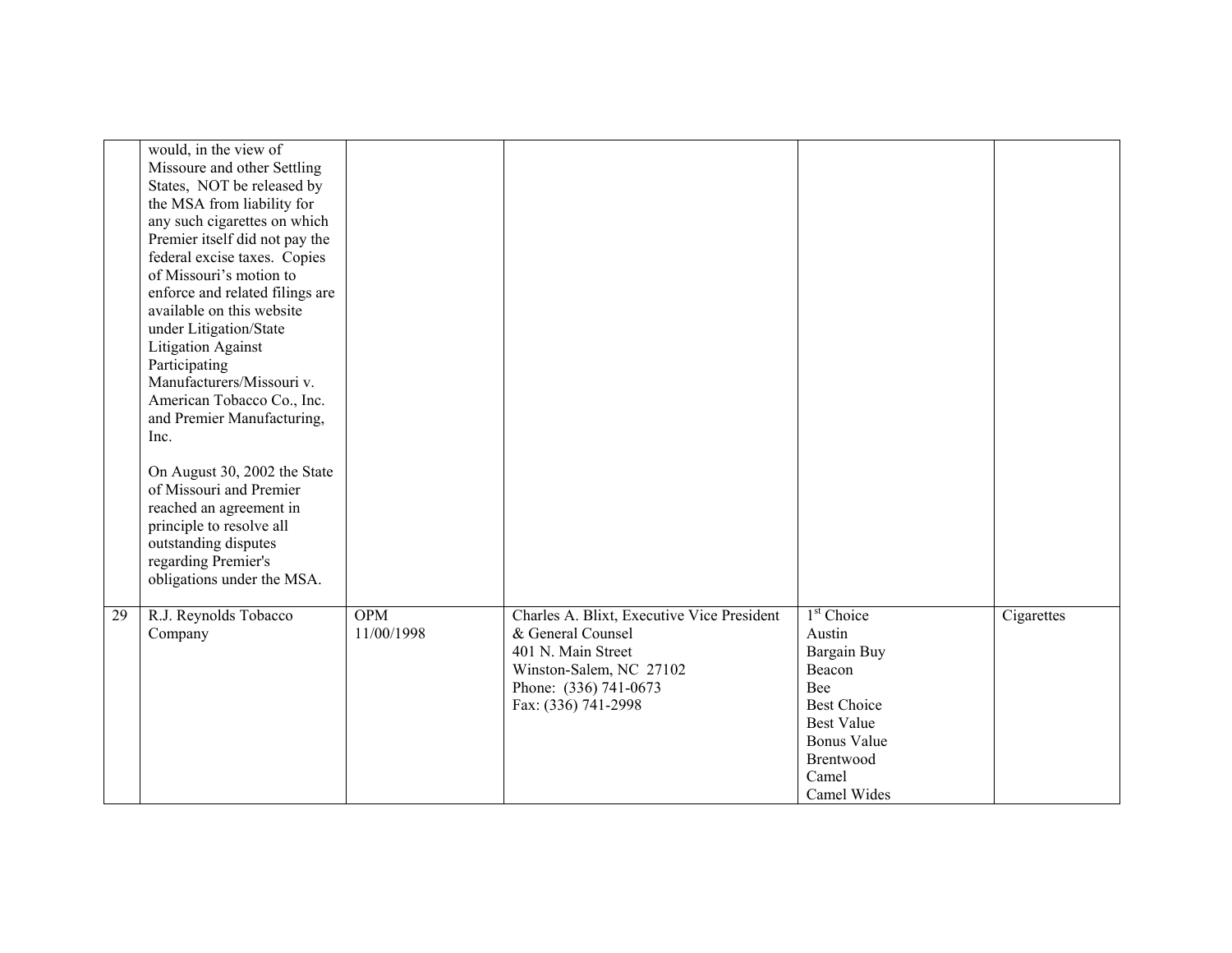|    | would, in the view of<br>Missoure and other Settling<br>States, NOT be released by<br>the MSA from liability for<br>any such cigarettes on which<br>Premier itself did not pay the<br>federal excise taxes. Copies<br>of Missouri's motion to<br>enforce and related filings are<br>available on this website<br>under Litigation/State<br><b>Litigation Against</b><br>Participating<br>Manufacturers/Missouri v.<br>American Tobacco Co., Inc.<br>and Premier Manufacturing,<br>Inc.<br>On August 30, 2002 the State<br>of Missouri and Premier<br>reached an agreement in<br>principle to resolve all<br>outstanding disputes<br>regarding Premier's |                          |                                                                                                                                                                  |                                                                                                                                                                        |            |
|----|---------------------------------------------------------------------------------------------------------------------------------------------------------------------------------------------------------------------------------------------------------------------------------------------------------------------------------------------------------------------------------------------------------------------------------------------------------------------------------------------------------------------------------------------------------------------------------------------------------------------------------------------------------|--------------------------|------------------------------------------------------------------------------------------------------------------------------------------------------------------|------------------------------------------------------------------------------------------------------------------------------------------------------------------------|------------|
|    | obligations under the MSA.                                                                                                                                                                                                                                                                                                                                                                                                                                                                                                                                                                                                                              |                          |                                                                                                                                                                  |                                                                                                                                                                        |            |
| 29 | R.J. Reynolds Tobacco<br>Company                                                                                                                                                                                                                                                                                                                                                                                                                                                                                                                                                                                                                        | <b>OPM</b><br>11/00/1998 | Charles A. Blixt, Executive Vice President<br>& General Counsel<br>401 N. Main Street<br>Winston-Salem, NC 27102<br>Phone: (336) 741-0673<br>Fax: (336) 741-2998 | 1 <sup>st</sup> Choice<br>Austin<br>Bargain Buy<br>Beacon<br>Bee<br><b>Best Choice</b><br><b>Best Value</b><br><b>Bonus Value</b><br>Brentwood<br>Camel<br>Camel Wides | Cigarettes |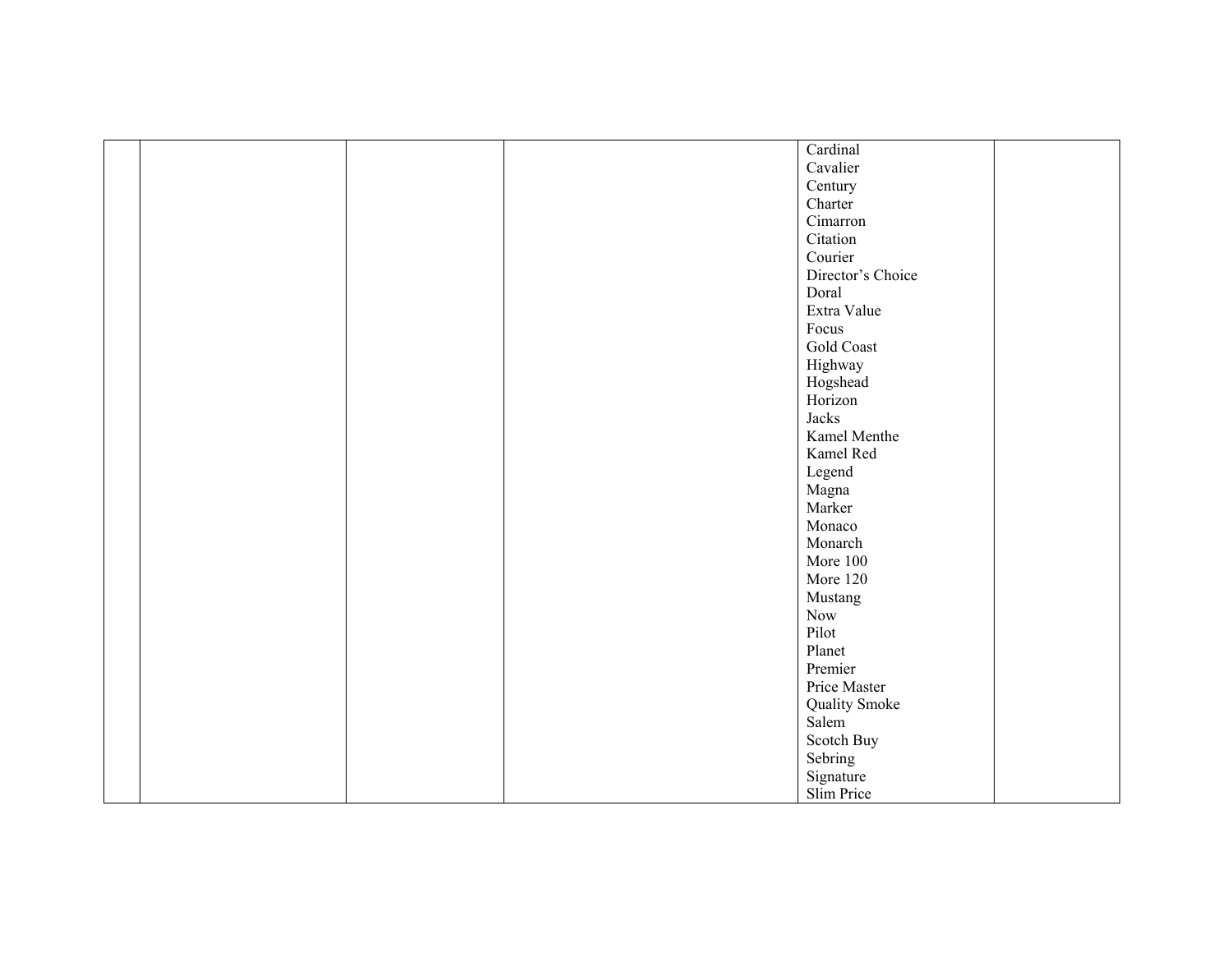|  |  | Cardinal          |  |
|--|--|-------------------|--|
|  |  | Cavalier          |  |
|  |  | Century           |  |
|  |  | Charter           |  |
|  |  | Cimarron          |  |
|  |  | Citation          |  |
|  |  | Courier           |  |
|  |  | Director's Choice |  |
|  |  | Doral             |  |
|  |  | Extra Value       |  |
|  |  | Focus             |  |
|  |  | Gold Coast        |  |
|  |  | Highway           |  |
|  |  | Hogshead          |  |
|  |  | Horizon           |  |
|  |  | Jacks             |  |
|  |  | Kamel Menthe      |  |
|  |  | Kamel Red         |  |
|  |  | Legend            |  |
|  |  | Magna             |  |
|  |  | Marker            |  |
|  |  | Monaco            |  |
|  |  | Monarch           |  |
|  |  | More 100          |  |
|  |  | More 120          |  |
|  |  | Mustang           |  |
|  |  | Now               |  |
|  |  | Pilot             |  |
|  |  | Planet            |  |
|  |  | Premier           |  |
|  |  | Price Master      |  |
|  |  | Quality Smoke     |  |
|  |  | Salem             |  |
|  |  | Scotch Buy        |  |
|  |  | Sebring           |  |
|  |  | Signature         |  |
|  |  | Slim Price        |  |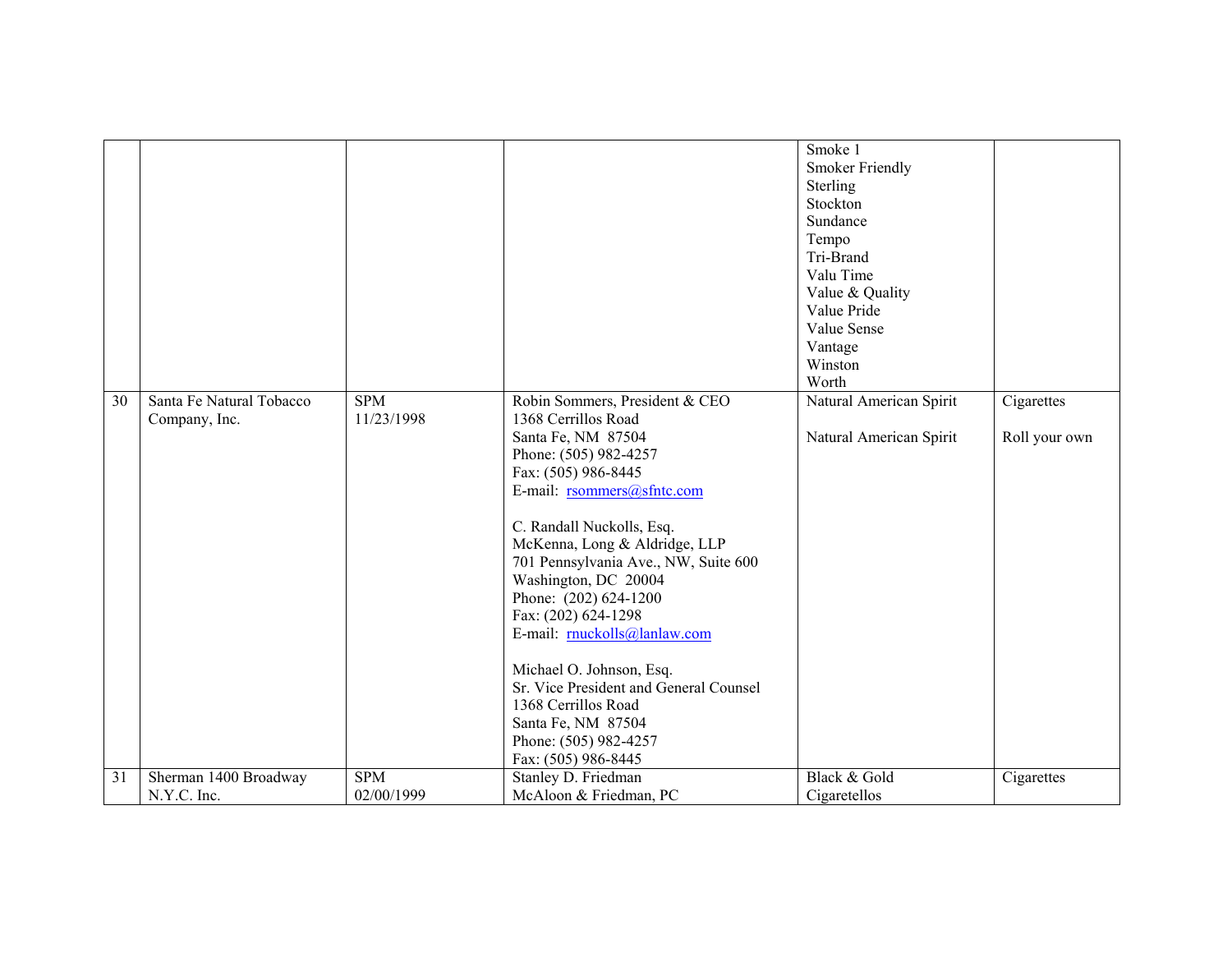|    |                                           |                          |                                                                                                                                                                                                                                                                                                                                                                                                                                                                                                                                           | Smoke 1<br><b>Smoker Friendly</b><br>Sterling<br>Stockton<br>Sundance<br>Tempo<br>Tri-Brand<br>Valu Time<br>Value & Quality<br>Value Pride<br>Value Sense<br>Vantage<br>Winston<br>Worth |                             |
|----|-------------------------------------------|--------------------------|-------------------------------------------------------------------------------------------------------------------------------------------------------------------------------------------------------------------------------------------------------------------------------------------------------------------------------------------------------------------------------------------------------------------------------------------------------------------------------------------------------------------------------------------|------------------------------------------------------------------------------------------------------------------------------------------------------------------------------------------|-----------------------------|
| 30 | Santa Fe Natural Tobacco<br>Company, Inc. | <b>SPM</b><br>11/23/1998 | Robin Sommers, President & CEO<br>1368 Cerrillos Road<br>Santa Fe, NM 87504<br>Phone: (505) 982-4257<br>Fax: (505) 986-8445<br>E-mail: rsommers@sfntc.com<br>C. Randall Nuckolls, Esq.<br>McKenna, Long & Aldridge, LLP<br>701 Pennsylvania Ave., NW, Suite 600<br>Washington, DC 20004<br>Phone: (202) 624-1200<br>Fax: (202) 624-1298<br>E-mail: muckolls@lanlaw.com<br>Michael O. Johnson, Esq.<br>Sr. Vice President and General Counsel<br>1368 Cerrillos Road<br>Santa Fe, NM 87504<br>Phone: (505) 982-4257<br>Fax: (505) 986-8445 | Natural American Spirit<br>Natural American Spirit                                                                                                                                       | Cigarettes<br>Roll your own |
| 31 | Sherman 1400 Broadway                     | <b>SPM</b>               | Stanley D. Friedman                                                                                                                                                                                                                                                                                                                                                                                                                                                                                                                       | Black & Gold                                                                                                                                                                             | Cigarettes                  |
|    | N.Y.C. Inc.                               | 02/00/1999               | McAloon & Friedman, PC                                                                                                                                                                                                                                                                                                                                                                                                                                                                                                                    | Cigaretellos                                                                                                                                                                             |                             |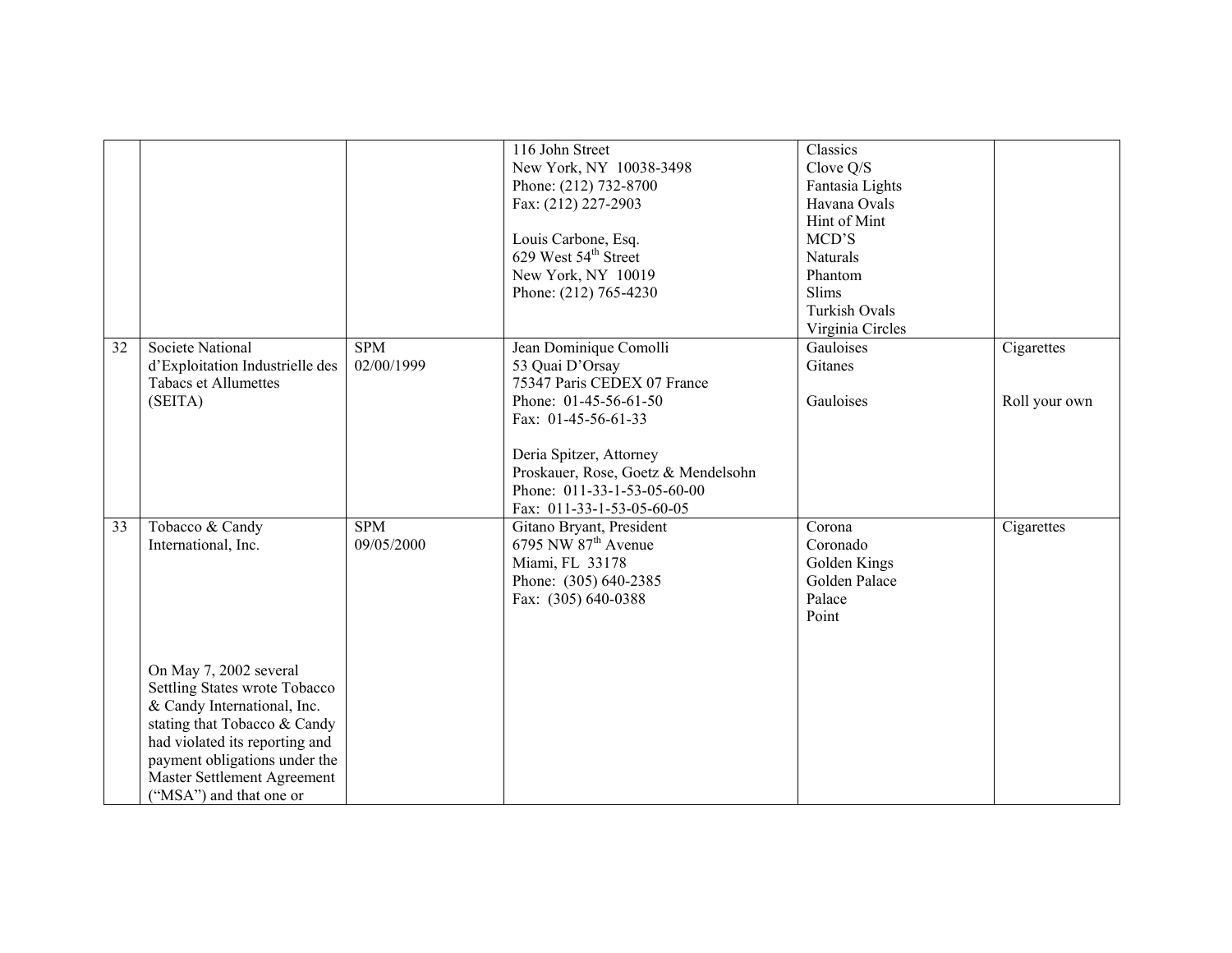|                 |                                                                                                                                                                                                                                                                                               |                          | 116 John Street<br>New York, NY 10038-3498<br>Phone: (212) 732-8700<br>Fax: (212) 227-2903<br>Louis Carbone, Esq.<br>629 West 54 <sup>th</sup> Street<br>New York, NY 10019<br>Phone: (212) 765-4230                                                     | Classics<br>Clove Q/S<br>Fantasia Lights<br>Havana Ovals<br>Hint of Mint<br>MCD'S<br>Naturals<br>Phantom<br>Slims<br><b>Turkish Ovals</b><br>Virginia Circles |                             |
|-----------------|-----------------------------------------------------------------------------------------------------------------------------------------------------------------------------------------------------------------------------------------------------------------------------------------------|--------------------------|----------------------------------------------------------------------------------------------------------------------------------------------------------------------------------------------------------------------------------------------------------|---------------------------------------------------------------------------------------------------------------------------------------------------------------|-----------------------------|
| $\overline{32}$ | <b>Societe National</b><br>d'Exploitation Industrielle des<br><b>Tabacs et Allumettes</b><br>(SEITA)                                                                                                                                                                                          | <b>SPM</b><br>02/00/1999 | Jean Dominique Comolli<br>53 Quai D'Orsay<br>75347 Paris CEDEX 07 France<br>Phone: 01-45-56-61-50<br>Fax: $01-45-56-61-33$<br>Deria Spitzer, Attorney<br>Proskauer, Rose, Goetz & Mendelsohn<br>Phone: 011-33-1-53-05-60-00<br>Fax: 011-33-1-53-05-60-05 | Gauloises<br>Gitanes<br>Gauloises                                                                                                                             | Cigarettes<br>Roll your own |
| $\overline{33}$ | Tobacco & Candy<br>International, Inc.<br>On May 7, 2002 several<br>Settling States wrote Tobacco<br>& Candy International, Inc.<br>stating that Tobacco & Candy<br>had violated its reporting and<br>payment obligations under the<br>Master Settlement Agreement<br>("MSA") and that one or | SPM<br>09/05/2000        | Gitano Bryant, President<br>6795 NW $87th$ Avenue<br>Miami, FL 33178<br>Phone: (305) 640-2385<br>Fax: (305) 640-0388                                                                                                                                     | Corona<br>Coronado<br>Golden Kings<br>Golden Palace<br>Palace<br>Point                                                                                        | Cigarettes                  |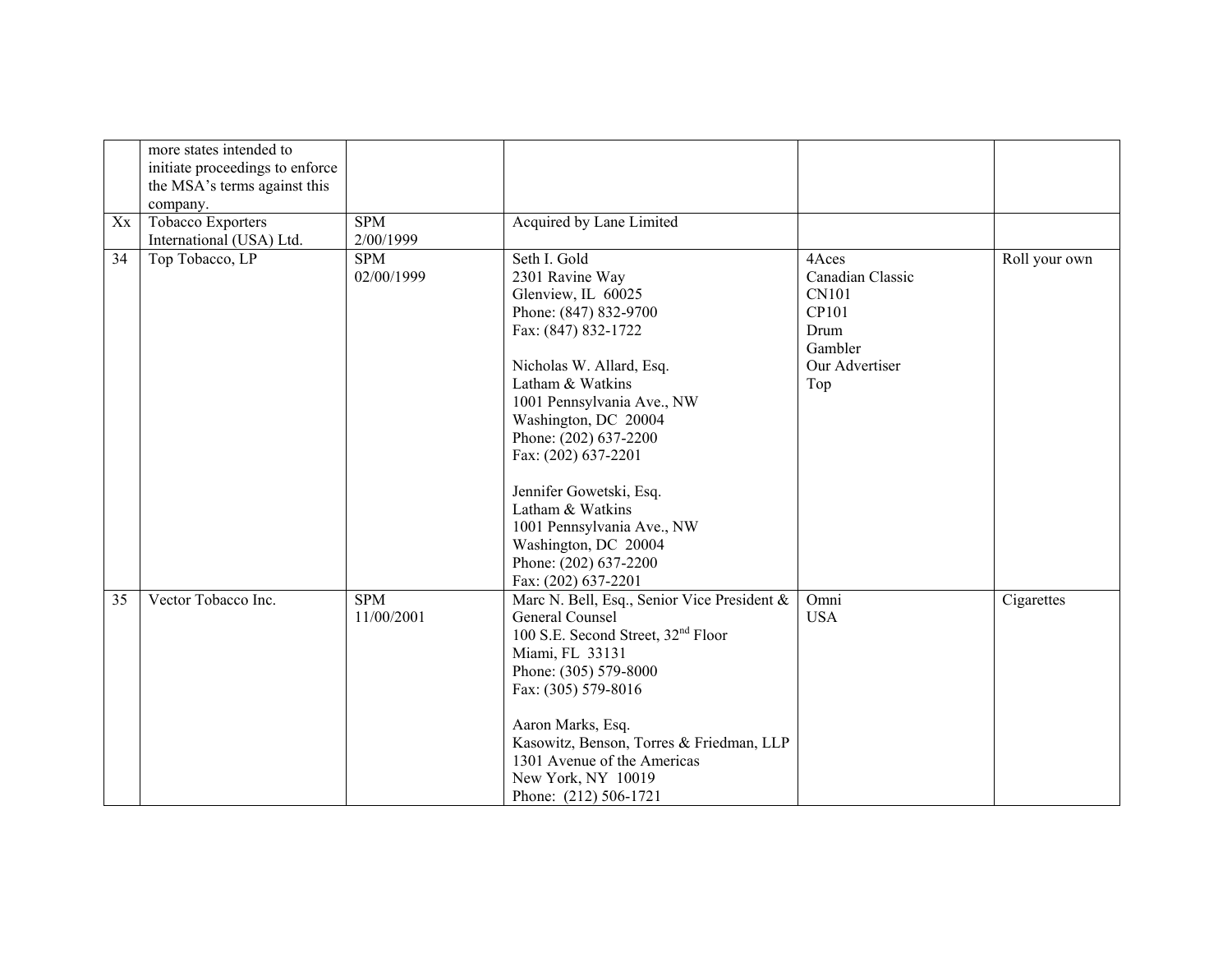|    | more states intended to<br>initiate proceedings to enforce<br>the MSA's terms against this<br>company. |                          |                                                                                                                                                                                                                                                                                                                                                                                                                  |                                                                                                |               |
|----|--------------------------------------------------------------------------------------------------------|--------------------------|------------------------------------------------------------------------------------------------------------------------------------------------------------------------------------------------------------------------------------------------------------------------------------------------------------------------------------------------------------------------------------------------------------------|------------------------------------------------------------------------------------------------|---------------|
| Xx | Tobacco Exporters<br>International (USA) Ltd.                                                          | <b>SPM</b><br>2/00/1999  | Acquired by Lane Limited                                                                                                                                                                                                                                                                                                                                                                                         |                                                                                                |               |
| 34 | Top Tobacco, LP                                                                                        | <b>SPM</b><br>02/00/1999 | Seth I. Gold<br>2301 Ravine Way<br>Glenview, IL 60025<br>Phone: (847) 832-9700<br>Fax: (847) 832-1722<br>Nicholas W. Allard, Esq.<br>Latham & Watkins<br>1001 Pennsylvania Ave., NW<br>Washington, DC 20004<br>Phone: (202) 637-2200<br>Fax: (202) 637-2201<br>Jennifer Gowetski, Esq.<br>Latham & Watkins<br>1001 Pennsylvania Ave., NW<br>Washington, DC 20004<br>Phone: (202) 637-2200<br>Fax: (202) 637-2201 | 4Aces<br>Canadian Classic<br><b>CN101</b><br>CP101<br>Drum<br>Gambler<br>Our Advertiser<br>Top | Roll your own |
| 35 | Vector Tobacco Inc.                                                                                    | <b>SPM</b><br>11/00/2001 | Marc N. Bell, Esq., Senior Vice President &<br>General Counsel<br>100 S.E. Second Street, 32 <sup>nd</sup> Floor<br>Miami, FL 33131<br>Phone: (305) 579-8000<br>Fax: (305) 579-8016<br>Aaron Marks, Esq.<br>Kasowitz, Benson, Torres & Friedman, LLP<br>1301 Avenue of the Americas<br>New York, NY 10019<br>Phone: (212) 506-1721                                                                               | Omni<br><b>USA</b>                                                                             | Cigarettes    |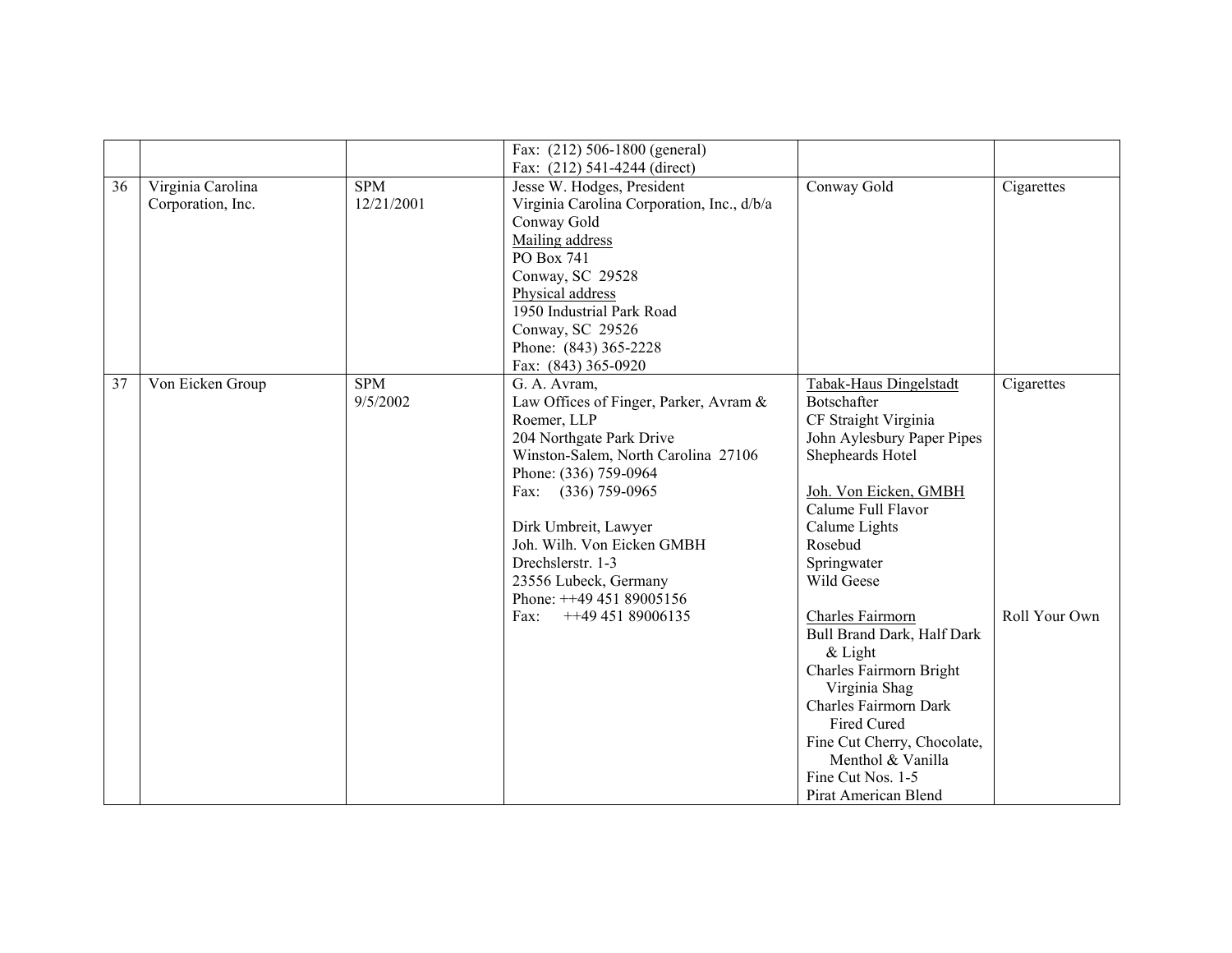|    |                                        |                          | Fax: (212) 506-1800 (general)                                                                                                                                                                                                                                                                                                                         |                                                                                                                                                                                                                                                                                                                                                                                                                                                                             |                             |
|----|----------------------------------------|--------------------------|-------------------------------------------------------------------------------------------------------------------------------------------------------------------------------------------------------------------------------------------------------------------------------------------------------------------------------------------------------|-----------------------------------------------------------------------------------------------------------------------------------------------------------------------------------------------------------------------------------------------------------------------------------------------------------------------------------------------------------------------------------------------------------------------------------------------------------------------------|-----------------------------|
| 36 | Virginia Carolina<br>Corporation, Inc. | <b>SPM</b><br>12/21/2001 | Fax: (212) 541-4244 (direct)<br>Jesse W. Hodges, President<br>Virginia Carolina Corporation, Inc., d/b/a<br>Conway Gold<br>Mailing address<br>PO Box 741<br>Conway, SC 29528<br>Physical address<br>1950 Industrial Park Road<br>Conway, SC 29526<br>Phone: (843) 365-2228<br>Fax: (843) 365-0920                                                     | Conway Gold                                                                                                                                                                                                                                                                                                                                                                                                                                                                 | Cigarettes                  |
| 37 | Von Eicken Group                       | <b>SPM</b><br>9/5/2002   | G. A. Avram,<br>Law Offices of Finger, Parker, Avram &<br>Roemer, LLP<br>204 Northgate Park Drive<br>Winston-Salem, North Carolina 27106<br>Phone: (336) 759-0964<br>Fax: (336) 759-0965<br>Dirk Umbreit, Lawyer<br>Joh. Wilh. Von Eicken GMBH<br>Drechslerstr. 1-3<br>23556 Lubeck, Germany<br>Phone: ++49 451 89005156<br>$++4945189006135$<br>Fax: | Tabak-Haus Dingelstadt<br>Botschafter<br>CF Straight Virginia<br>John Aylesbury Paper Pipes<br>Shepheards Hotel<br>Joh. Von Eicken, GMBH<br>Calume Full Flavor<br>Calume Lights<br>Rosebud<br>Springwater<br>Wild Geese<br>Charles Fairmorn<br>Bull Brand Dark, Half Dark<br>$&$ Light<br>Charles Fairmorn Bright<br>Virginia Shag<br>Charles Fairmorn Dark<br>Fired Cured<br>Fine Cut Cherry, Chocolate,<br>Menthol & Vanilla<br>Fine Cut Nos. 1-5<br>Pirat American Blend | Cigarettes<br>Roll Your Own |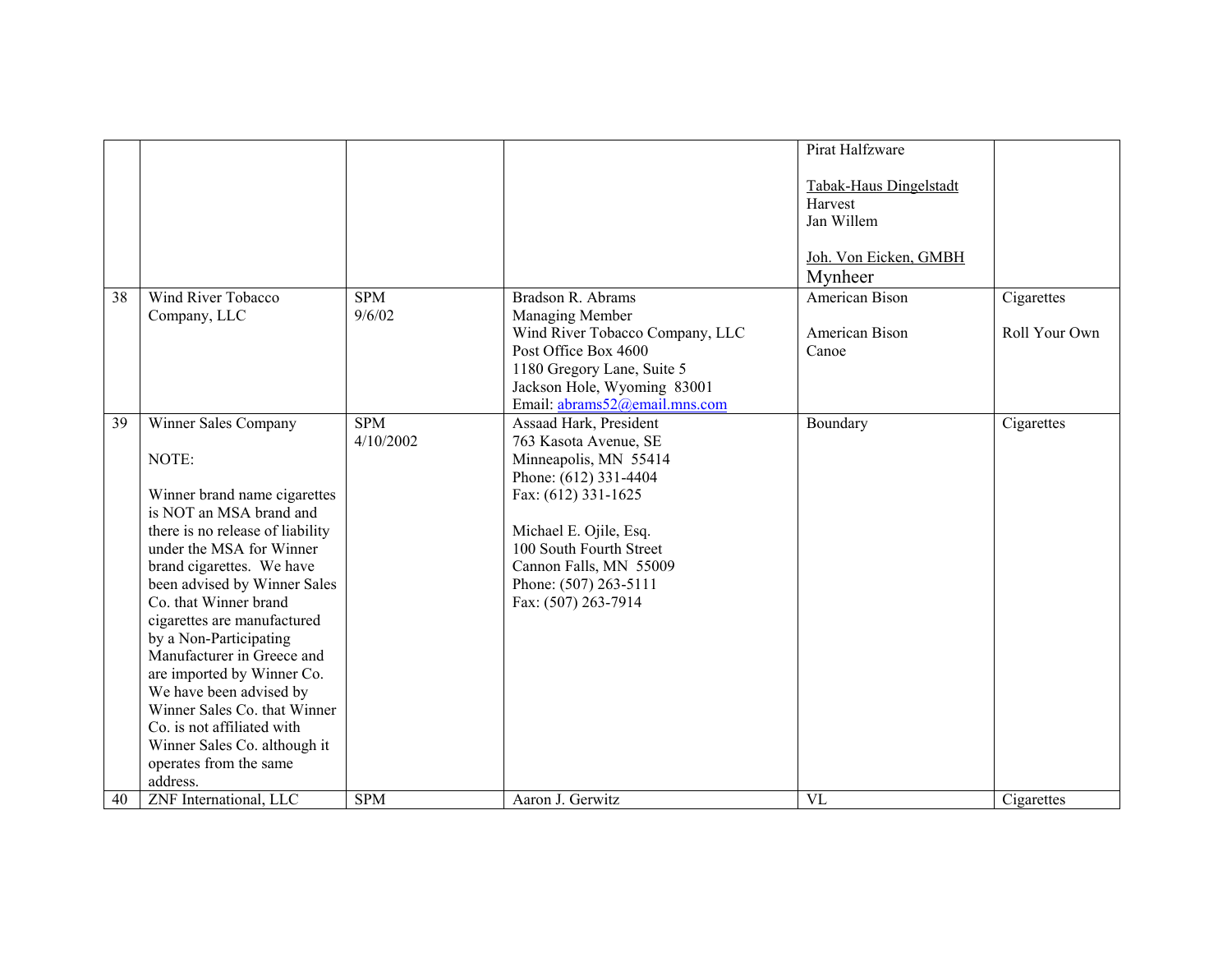|    |                                                                                                                                                                                                                                                                                                                                                                                                                                                                                                                                    |                         |                                                                                                                                                                                                                                                         | Pirat Halfzware                                                          |               |
|----|------------------------------------------------------------------------------------------------------------------------------------------------------------------------------------------------------------------------------------------------------------------------------------------------------------------------------------------------------------------------------------------------------------------------------------------------------------------------------------------------------------------------------------|-------------------------|---------------------------------------------------------------------------------------------------------------------------------------------------------------------------------------------------------------------------------------------------------|--------------------------------------------------------------------------|---------------|
|    |                                                                                                                                                                                                                                                                                                                                                                                                                                                                                                                                    |                         |                                                                                                                                                                                                                                                         | Tabak-Haus Dingelstadt<br>Harvest<br>Jan Willem<br>Joh. Von Eicken, GMBH |               |
|    |                                                                                                                                                                                                                                                                                                                                                                                                                                                                                                                                    |                         |                                                                                                                                                                                                                                                         | Mynheer                                                                  |               |
| 38 | Wind River Tobacco                                                                                                                                                                                                                                                                                                                                                                                                                                                                                                                 | <b>SPM</b>              | Bradson R. Abrams                                                                                                                                                                                                                                       | American Bison                                                           | Cigarettes    |
|    | Company, LLC                                                                                                                                                                                                                                                                                                                                                                                                                                                                                                                       | 9/6/02                  | Managing Member<br>Wind River Tobacco Company, LLC<br>Post Office Box 4600<br>1180 Gregory Lane, Suite 5<br>Jackson Hole, Wyoming 83001<br>Email: abrams52@email.mns.com                                                                                | American Bison<br>Canoe                                                  | Roll Your Own |
| 39 | Winner Sales Company<br>NOTE:<br>Winner brand name cigarettes<br>is NOT an MSA brand and<br>there is no release of liability<br>under the MSA for Winner<br>brand cigarettes. We have<br>been advised by Winner Sales<br>Co. that Winner brand<br>cigarettes are manufactured<br>by a Non-Participating<br>Manufacturer in Greece and<br>are imported by Winner Co.<br>We have been advised by<br>Winner Sales Co. that Winner<br>Co. is not affiliated with<br>Winner Sales Co. although it<br>operates from the same<br>address. | <b>SPM</b><br>4/10/2002 | Assaad Hark, President<br>763 Kasota Avenue, SE<br>Minneapolis, MN 55414<br>Phone: (612) 331-4404<br>Fax: (612) 331-1625<br>Michael E. Ojile, Esq.<br>100 South Fourth Street<br>Cannon Falls, MN 55009<br>Phone: (507) 263-5111<br>Fax: (507) 263-7914 | Boundary                                                                 | Cigarettes    |
| 40 | ZNF International, LLC                                                                                                                                                                                                                                                                                                                                                                                                                                                                                                             | <b>SPM</b>              | Aaron J. Gerwitz                                                                                                                                                                                                                                        | VL                                                                       | Cigarettes    |